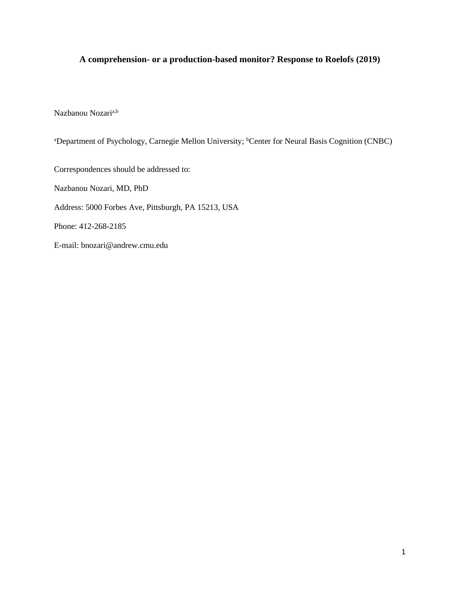# **A comprehension- or a production-based monitor? Response to Roelofs (2019)**

Nazbanou Nozari<sup>a,b</sup>

<sup>a</sup>Department of Psychology, Carnegie Mellon University; <sup>b</sup>Center for Neural Basis Cognition (CNBC)

Correspondences should be addressed to:

Nazbanou Nozari, MD, PhD

Address: 5000 Forbes Ave, Pittsburgh, PA 15213, USA

Phone: 412-268-2185

E-mail: bnozari@andrew.cmu.edu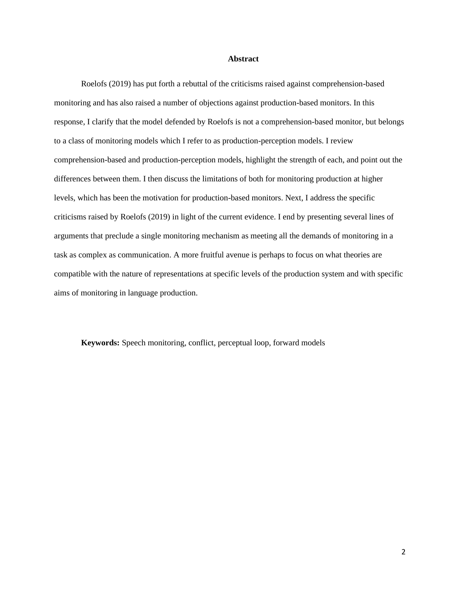#### **Abstract**

Roelofs (2019) has put forth a rebuttal of the criticisms raised against comprehension-based monitoring and has also raised a number of objections against production-based monitors. In this response, I clarify that the model defended by Roelofs is not a comprehension-based monitor, but belongs to a class of monitoring models which I refer to as production-perception models. I review comprehension-based and production-perception models, highlight the strength of each, and point out the differences between them. I then discuss the limitations of both for monitoring production at higher levels, which has been the motivation for production-based monitors. Next, I address the specific criticisms raised by Roelofs (2019) in light of the current evidence. I end by presenting several lines of arguments that preclude a single monitoring mechanism as meeting all the demands of monitoring in a task as complex as communication. A more fruitful avenue is perhaps to focus on what theories are compatible with the nature of representations at specific levels of the production system and with specific aims of monitoring in language production.

**Keywords:** Speech monitoring, conflict, perceptual loop, forward models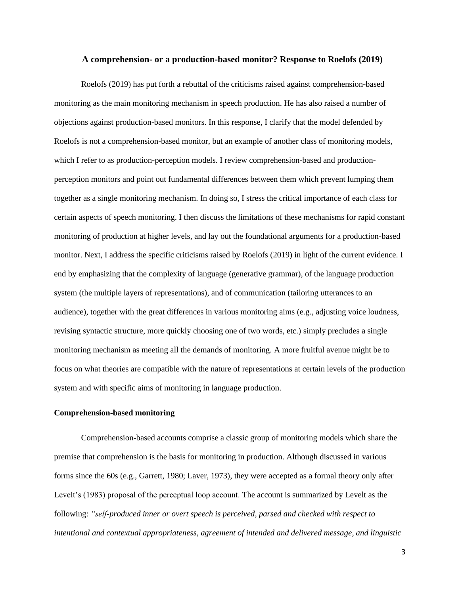#### **A comprehension- or a production-based monitor? Response to Roelofs (2019)**

Roelofs (2019) has put forth a rebuttal of the criticisms raised against comprehension-based monitoring as the main monitoring mechanism in speech production. He has also raised a number of objections against production-based monitors. In this response, I clarify that the model defended by Roelofs is not a comprehension-based monitor, but an example of another class of monitoring models, which I refer to as production-perception models. I review comprehension-based and productionperception monitors and point out fundamental differences between them which prevent lumping them together as a single monitoring mechanism. In doing so, I stress the critical importance of each class for certain aspects of speech monitoring. I then discuss the limitations of these mechanisms for rapid constant monitoring of production at higher levels, and lay out the foundational arguments for a production-based monitor. Next, I address the specific criticisms raised by Roelofs (2019) in light of the current evidence. I end by emphasizing that the complexity of language (generative grammar), of the language production system (the multiple layers of representations), and of communication (tailoring utterances to an audience), together with the great differences in various monitoring aims (e.g., adjusting voice loudness, revising syntactic structure, more quickly choosing one of two words, etc.) simply precludes a single monitoring mechanism as meeting all the demands of monitoring. A more fruitful avenue might be to focus on what theories are compatible with the nature of representations at certain levels of the production system and with specific aims of monitoring in language production.

## **Comprehension-based monitoring**

Comprehension-based accounts comprise a classic group of monitoring models which share the premise that comprehension is the basis for monitoring in production. Although discussed in various forms since the 60s (e.g., Garrett, 1980; Laver, 1973), they were accepted as a formal theory only after Levelt's (1983) proposal of the perceptual loop account. The account is summarized by Levelt as the following: *"self-produced inner or overt speech is perceived, parsed and checked with respect to intentional and contextual appropriateness, agreement of intended and delivered message, and linguistic*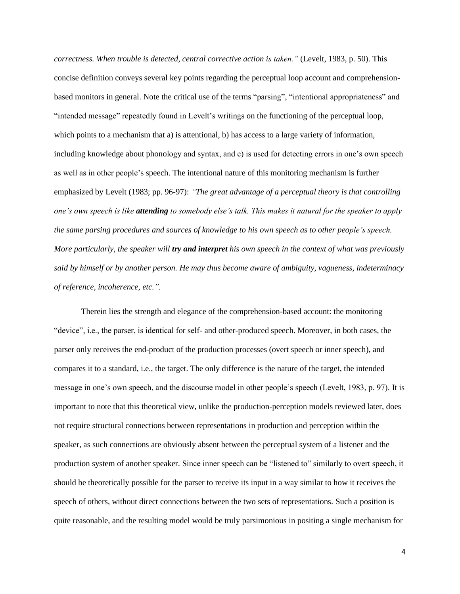*correctness. When trouble is detected, central corrective action is taken."* (Levelt, 1983, p. 50). This concise definition conveys several key points regarding the perceptual loop account and comprehensionbased monitors in general. Note the critical use of the terms "parsing", "intentional appropriateness" and "intended message" repeatedly found in Levelt's writings on the functioning of the perceptual loop, which points to a mechanism that a) is attentional, b) has access to a large variety of information, including knowledge about phonology and syntax, and c) is used for detecting errors in one's own speech as well as in other people's speech. The intentional nature of this monitoring mechanism is further emphasized by Levelt (1983; pp. 96-97): *"The great advantage of a perceptual theory is that controlling one's own speech is like attending to somebody else's talk. This makes it natural for the speaker to apply the same parsing procedures and sources of knowledge to his own speech as to other people's speech. More particularly, the speaker will try and interpret his own speech in the context of what was previously said by himself or by another person. He may thus become aware of ambiguity, vagueness, indeterminacy of reference, incoherence, etc.".*

Therein lies the strength and elegance of the comprehension-based account: the monitoring "device", i.e., the parser, is identical for self- and other-produced speech. Moreover, in both cases, the parser only receives the end-product of the production processes (overt speech or inner speech), and compares it to a standard, i.e., the target. The only difference is the nature of the target, the intended message in one's own speech, and the discourse model in other people's speech (Levelt, 1983, p. 97). It is important to note that this theoretical view, unlike the production-perception models reviewed later, does not require structural connections between representations in production and perception within the speaker, as such connections are obviously absent between the perceptual system of a listener and the production system of another speaker. Since inner speech can be "listened to" similarly to overt speech, it should be theoretically possible for the parser to receive its input in a way similar to how it receives the speech of others, without direct connections between the two sets of representations. Such a position is quite reasonable, and the resulting model would be truly parsimonious in positing a single mechanism for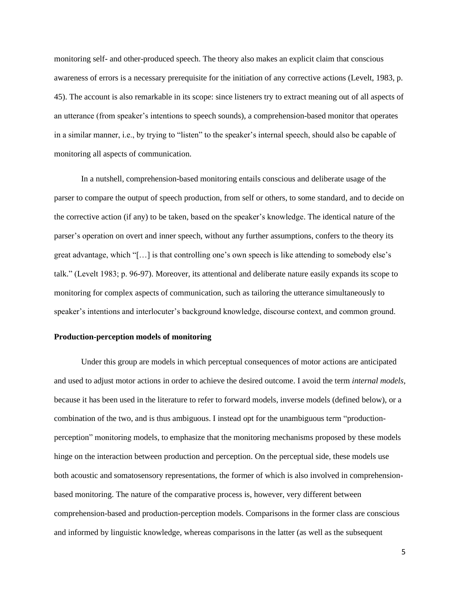monitoring self- and other-produced speech. The theory also makes an explicit claim that conscious awareness of errors is a necessary prerequisite for the initiation of any corrective actions (Levelt, 1983, p. 45). The account is also remarkable in its scope: since listeners try to extract meaning out of all aspects of an utterance (from speaker's intentions to speech sounds), a comprehension-based monitor that operates in a similar manner, i.e., by trying to "listen" to the speaker's internal speech, should also be capable of monitoring all aspects of communication.

In a nutshell, comprehension-based monitoring entails conscious and deliberate usage of the parser to compare the output of speech production, from self or others, to some standard, and to decide on the corrective action (if any) to be taken, based on the speaker's knowledge. The identical nature of the parser's operation on overt and inner speech, without any further assumptions, confers to the theory its great advantage, which "[…] is that controlling one's own speech is like attending to somebody else's talk." (Levelt 1983; p. 96-97). Moreover, its attentional and deliberate nature easily expands its scope to monitoring for complex aspects of communication, such as tailoring the utterance simultaneously to speaker's intentions and interlocuter's background knowledge, discourse context, and common ground.

## **Production-perception models of monitoring**

Under this group are models in which perceptual consequences of motor actions are anticipated and used to adjust motor actions in order to achieve the desired outcome. I avoid the term *internal models*, because it has been used in the literature to refer to forward models, inverse models (defined below), or a combination of the two, and is thus ambiguous. I instead opt for the unambiguous term "productionperception" monitoring models, to emphasize that the monitoring mechanisms proposed by these models hinge on the interaction between production and perception. On the perceptual side, these models use both acoustic and somatosensory representations, the former of which is also involved in comprehensionbased monitoring. The nature of the comparative process is, however, very different between comprehension-based and production-perception models. Comparisons in the former class are conscious and informed by linguistic knowledge, whereas comparisons in the latter (as well as the subsequent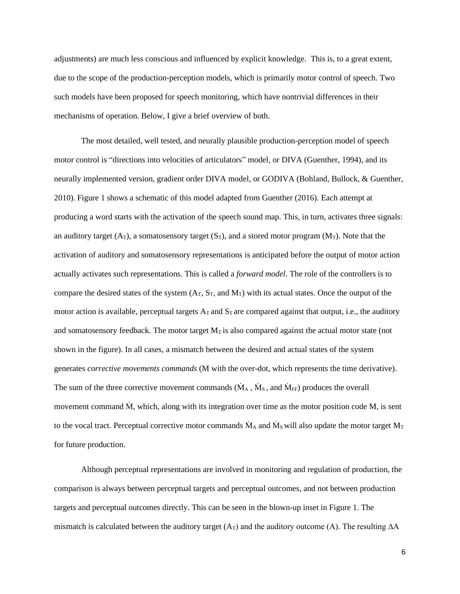adjustments) are much less conscious and influenced by explicit knowledge. This is, to a great extent, due to the scope of the production-perception models, which is primarily motor control of speech. Two such models have been proposed for speech monitoring, which have nontrivial differences in their mechanisms of operation. Below, I give a brief overview of both.

The most detailed, well tested, and neurally plausible production-perception model of speech motor control is "directions into velocities of articulators" model, or DIVA (Guenther, 1994), and its neurally implemented version, gradient order DIVA model, or GODIVA (Bohland, Bullock, & Guenther, 2010). Figure 1 shows a schematic of this model adapted from Guenther (2016). Each attempt at producing a word starts with the activation of the speech sound map. This, in turn, activates three signals: an auditory target  $(A_T)$ , a somatosensory target  $(S_T)$ , and a stored motor program  $(M_T)$ . Note that the activation of auditory and somatosensory representations is anticipated before the output of motor action actually activates such representations. This is called a *forward model*. The role of the controllers is to compare the desired states of the system  $(A_T, S_T,$  and  $M_T)$  with its actual states. Once the output of the motor action is available, perceptual targets  $A_T$  and  $S_T$  are compared against that output, i.e., the auditory and somatosensory feedback. The motor target  $M<sub>T</sub>$  is also compared against the actual motor state (not shown in the figure). In all cases, a mismatch between the desired and actual states of the system generates *corrective movements commands* (M with the over-dot, which represents the time derivative). The sum of the three corrective movement commands ( $\dot{M}_A$ ,  $\dot{M}_S$ , and  $\dot{M}_{FF}$ ) produces the overall movement command  $\dot{M}$ , which, along with its integration over time as the motor position code M, is sent to the vocal tract. Perceptual corrective motor commands  $\dot{M}_A$  and  $\dot{M}_S$  will also update the motor target  $M_T$ for future production.

Although perceptual representations are involved in monitoring and regulation of production, the comparison is always between perceptual targets and perceptual outcomes, and not between production targets and perceptual outcomes directly. This can be seen in the blown-up inset in Figure 1. The mismatch is calculated between the auditory target (A<sub>T</sub>) and the auditory outcome (A). The resulting  $\Delta A$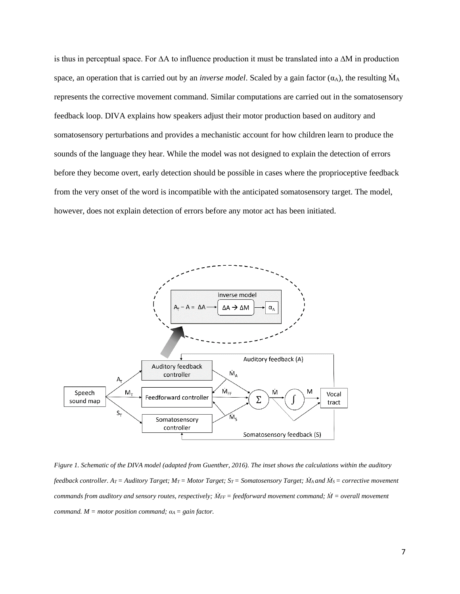is thus in perceptual space. For ∆A to influence production it must be translated into a ∆M in production space, an operation that is carried out by an *inverse model*. Scaled by a gain factor  $(\alpha_A)$ , the resulting  $\dot{M}_A$ represents the corrective movement command. Similar computations are carried out in the somatosensory feedback loop. DIVA explains how speakers adjust their motor production based on auditory and somatosensory perturbations and provides a mechanistic account for how children learn to produce the sounds of the language they hear. While the model was not designed to explain the detection of errors before they become overt, early detection should be possible in cases where the proprioceptive feedback from the very onset of the word is incompatible with the anticipated somatosensory target. The model, however, does not explain detection of errors before any motor act has been initiated.



*Figure 1. Schematic of the DIVA model (adapted from Guenther, 2016). The inset shows the calculations within the auditory feedback controller. AT = Auditory Target; MT = Motor Target; ST = Somatosensory Target; ṀA and ṀS = corrective movement commands from auditory and sensory routes, respectively; ṀFF = feedforward movement command; Ṁ = overall movement command.*  $M = motor position command;  $a_A = gain factor$ .$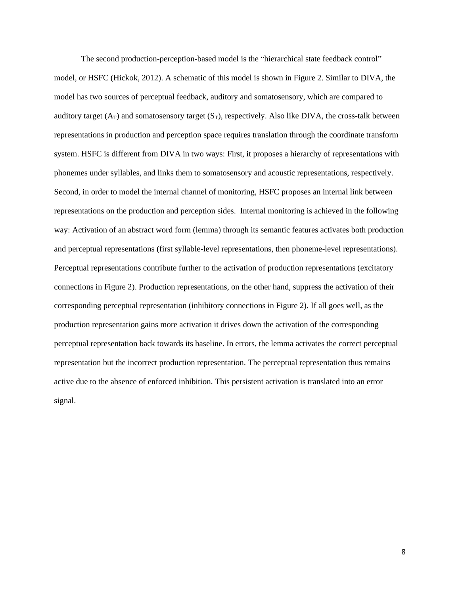The second production-perception-based model is the "hierarchical state feedback control" model, or HSFC (Hickok, 2012). A schematic of this model is shown in Figure 2. Similar to DIVA, the model has two sources of perceptual feedback, auditory and somatosensory, which are compared to auditory target  $(A_T)$  and somatosensory target  $(S_T)$ , respectively. Also like DIVA, the cross-talk between representations in production and perception space requires translation through the coordinate transform system. HSFC is different from DIVA in two ways: First, it proposes a hierarchy of representations with phonemes under syllables, and links them to somatosensory and acoustic representations, respectively. Second, in order to model the internal channel of monitoring, HSFC proposes an internal link between representations on the production and perception sides. Internal monitoring is achieved in the following way: Activation of an abstract word form (lemma) through its semantic features activates both production and perceptual representations (first syllable-level representations, then phoneme-level representations). Perceptual representations contribute further to the activation of production representations (excitatory connections in Figure 2). Production representations, on the other hand, suppress the activation of their corresponding perceptual representation (inhibitory connections in Figure 2). If all goes well, as the production representation gains more activation it drives down the activation of the corresponding perceptual representation back towards its baseline. In errors, the lemma activates the correct perceptual representation but the incorrect production representation. The perceptual representation thus remains active due to the absence of enforced inhibition. This persistent activation is translated into an error signal.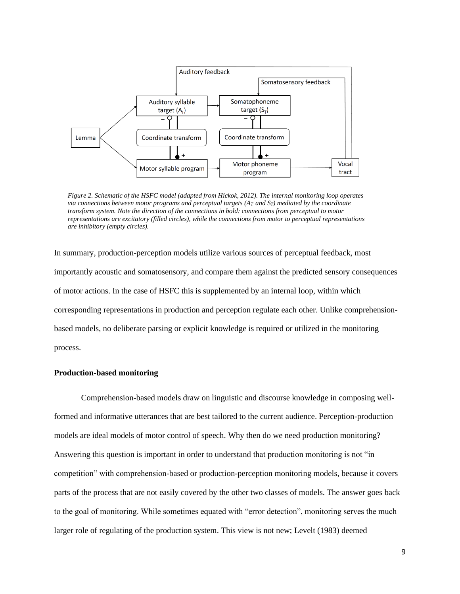

*Figure 2. Schematic of the HSFC model (adapted from Hickok, 2012). The internal monitoring loop operates via connections between motor programs and perceptual targets (AT and ST) mediated by the coordinate transform system. Note the direction of the connections in bold: connections from perceptual to motor representations are excitatory (filled circles), while the connections from motor to perceptual representations are inhibitory (empty circles).*

In summary, production-perception models utilize various sources of perceptual feedback, most importantly acoustic and somatosensory, and compare them against the predicted sensory consequences of motor actions. In the case of HSFC this is supplemented by an internal loop, within which corresponding representations in production and perception regulate each other. Unlike comprehensionbased models, no deliberate parsing or explicit knowledge is required or utilized in the monitoring process.

## **Production-based monitoring**

Comprehension-based models draw on linguistic and discourse knowledge in composing wellformed and informative utterances that are best tailored to the current audience. Perception-production models are ideal models of motor control of speech. Why then do we need production monitoring? Answering this question is important in order to understand that production monitoring is not "in competition" with comprehension-based or production-perception monitoring models, because it covers parts of the process that are not easily covered by the other two classes of models. The answer goes back to the goal of monitoring. While sometimes equated with "error detection", monitoring serves the much larger role of regulating of the production system. This view is not new; Levelt (1983) deemed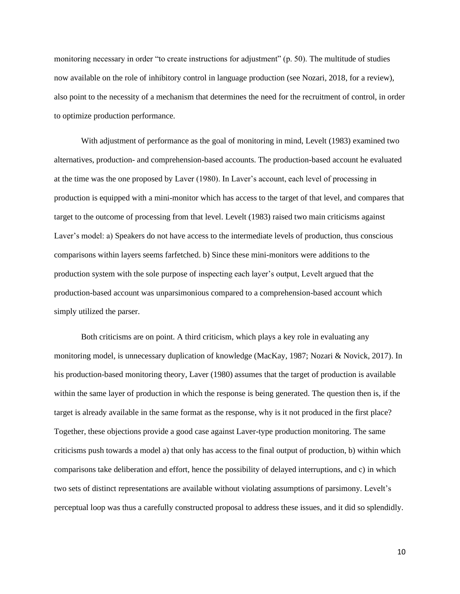monitoring necessary in order "to create instructions for adjustment" (p. 50). The multitude of studies now available on the role of inhibitory control in language production (see Nozari, 2018, for a review), also point to the necessity of a mechanism that determines the need for the recruitment of control, in order to optimize production performance.

With adjustment of performance as the goal of monitoring in mind, Levelt (1983) examined two alternatives, production- and comprehension-based accounts. The production-based account he evaluated at the time was the one proposed by Laver (1980). In Laver's account, each level of processing in production is equipped with a mini-monitor which has access to the target of that level, and compares that target to the outcome of processing from that level. Levelt (1983) raised two main criticisms against Laver's model: a) Speakers do not have access to the intermediate levels of production, thus conscious comparisons within layers seems farfetched. b) Since these mini-monitors were additions to the production system with the sole purpose of inspecting each layer's output, Levelt argued that the production-based account was unparsimonious compared to a comprehension-based account which simply utilized the parser.

Both criticisms are on point. A third criticism, which plays a key role in evaluating any monitoring model, is unnecessary duplication of knowledge (MacKay, 1987; Nozari & Novick, 2017). In his production-based monitoring theory, Laver (1980) assumes that the target of production is available within the same layer of production in which the response is being generated. The question then is, if the target is already available in the same format as the response, why is it not produced in the first place? Together, these objections provide a good case against Laver-type production monitoring. The same criticisms push towards a model a) that only has access to the final output of production, b) within which comparisons take deliberation and effort, hence the possibility of delayed interruptions, and c) in which two sets of distinct representations are available without violating assumptions of parsimony. Levelt's perceptual loop was thus a carefully constructed proposal to address these issues, and it did so splendidly.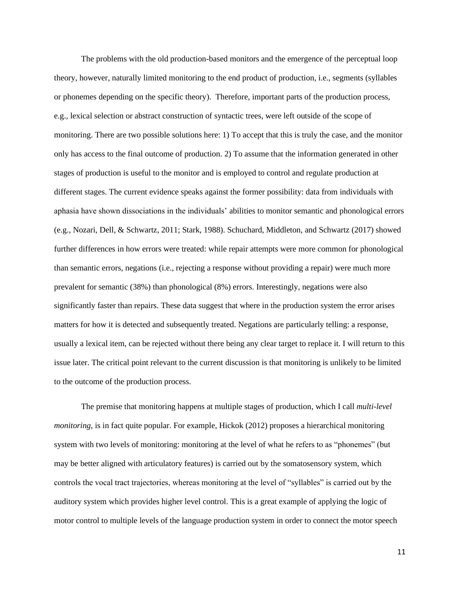The problems with the old production-based monitors and the emergence of the perceptual loop theory, however, naturally limited monitoring to the end product of production, i.e., segments (syllables or phonemes depending on the specific theory). Therefore, important parts of the production process, e.g., lexical selection or abstract construction of syntactic trees, were left outside of the scope of monitoring. There are two possible solutions here: 1) To accept that this is truly the case, and the monitor only has access to the final outcome of production. 2) To assume that the information generated in other stages of production is useful to the monitor and is employed to control and regulate production at different stages. The current evidence speaks against the former possibility: data from individuals with aphasia have shown dissociations in the individuals' abilities to monitor semantic and phonological errors (e.g., Nozari, Dell, & Schwartz, 2011; Stark, 1988). Schuchard, Middleton, and Schwartz (2017) showed further differences in how errors were treated: while repair attempts were more common for phonological than semantic errors, negations (i.e., rejecting a response without providing a repair) were much more prevalent for semantic (38%) than phonological (8%) errors. Interestingly, negations were also significantly faster than repairs. These data suggest that where in the production system the error arises matters for how it is detected and subsequently treated. Negations are particularly telling: a response, usually a lexical item, can be rejected without there being any clear target to replace it. I will return to this issue later. The critical point relevant to the current discussion is that monitoring is unlikely to be limited to the outcome of the production process.

The premise that monitoring happens at multiple stages of production, which I call *multi-level monitoring*, is in fact quite popular. For example, Hickok (2012) proposes a hierarchical monitoring system with two levels of monitoring: monitoring at the level of what he refers to as "phonemes" (but may be better aligned with articulatory features) is carried out by the somatosensory system, which controls the vocal tract trajectories, whereas monitoring at the level of "syllables" is carried out by the auditory system which provides higher level control. This is a great example of applying the logic of motor control to multiple levels of the language production system in order to connect the motor speech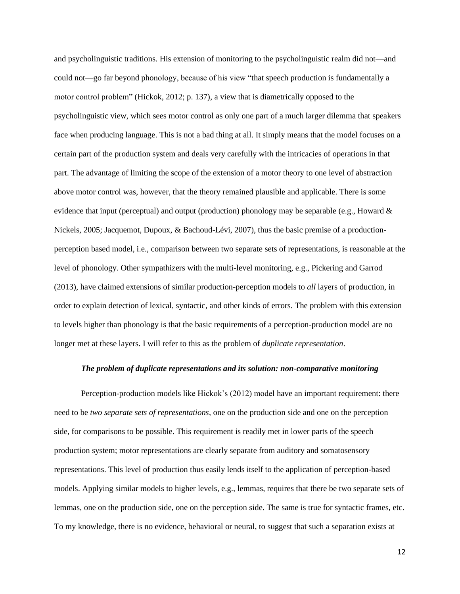and psycholinguistic traditions. His extension of monitoring to the psycholinguistic realm did not—and could not—go far beyond phonology, because of his view "that speech production is fundamentally a motor control problem" (Hickok, 2012; p. 137), a view that is diametrically opposed to the psycholinguistic view, which sees motor control as only one part of a much larger dilemma that speakers face when producing language. This is not a bad thing at all. It simply means that the model focuses on a certain part of the production system and deals very carefully with the intricacies of operations in that part. The advantage of limiting the scope of the extension of a motor theory to one level of abstraction above motor control was, however, that the theory remained plausible and applicable. There is some evidence that input (perceptual) and output (production) phonology may be separable (e.g., Howard & Nickels, 2005; Jacquemot, Dupoux, & Bachoud-Lévi, 2007), thus the basic premise of a productionperception based model, i.e., comparison between two separate sets of representations, is reasonable at the level of phonology. Other sympathizers with the multi-level monitoring, e.g., Pickering and Garrod (2013), have claimed extensions of similar production-perception models to *all* layers of production, in order to explain detection of lexical, syntactic, and other kinds of errors. The problem with this extension to levels higher than phonology is that the basic requirements of a perception-production model are no longer met at these layers. I will refer to this as the problem of *duplicate representation*.

#### *The problem of duplicate representations and its solution: non-comparative monitoring*

Perception-production models like Hickok's (2012) model have an important requirement: there need to be *two separate sets of representations*, one on the production side and one on the perception side, for comparisons to be possible. This requirement is readily met in lower parts of the speech production system; motor representations are clearly separate from auditory and somatosensory representations. This level of production thus easily lends itself to the application of perception-based models. Applying similar models to higher levels, e.g., lemmas, requires that there be two separate sets of lemmas, one on the production side, one on the perception side. The same is true for syntactic frames, etc. To my knowledge, there is no evidence, behavioral or neural, to suggest that such a separation exists at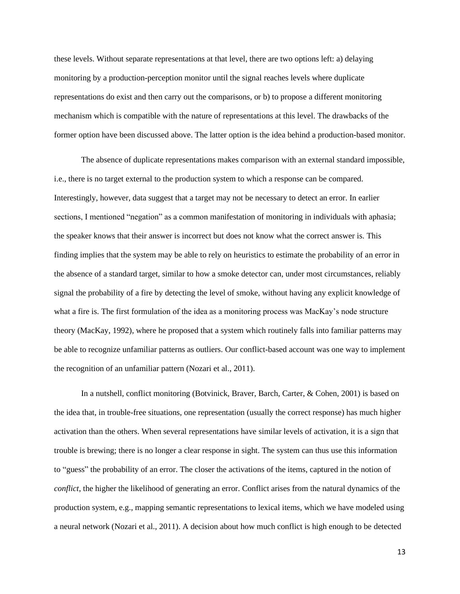these levels. Without separate representations at that level, there are two options left: a) delaying monitoring by a production-perception monitor until the signal reaches levels where duplicate representations do exist and then carry out the comparisons, or b) to propose a different monitoring mechanism which is compatible with the nature of representations at this level. The drawbacks of the former option have been discussed above. The latter option is the idea behind a production-based monitor.

The absence of duplicate representations makes comparison with an external standard impossible, i.e., there is no target external to the production system to which a response can be compared. Interestingly, however, data suggest that a target may not be necessary to detect an error. In earlier sections, I mentioned "negation" as a common manifestation of monitoring in individuals with aphasia; the speaker knows that their answer is incorrect but does not know what the correct answer is. This finding implies that the system may be able to rely on heuristics to estimate the probability of an error in the absence of a standard target, similar to how a smoke detector can, under most circumstances, reliably signal the probability of a fire by detecting the level of smoke, without having any explicit knowledge of what a fire is. The first formulation of the idea as a monitoring process was MacKay's node structure theory (MacKay, 1992), where he proposed that a system which routinely falls into familiar patterns may be able to recognize unfamiliar patterns as outliers. Our conflict-based account was one way to implement the recognition of an unfamiliar pattern (Nozari et al., 2011).

In a nutshell, conflict monitoring (Botvinick, Braver, Barch, Carter, & Cohen, 2001) is based on the idea that, in trouble-free situations, one representation (usually the correct response) has much higher activation than the others. When several representations have similar levels of activation, it is a sign that trouble is brewing; there is no longer a clear response in sight. The system can thus use this information to "guess" the probability of an error. The closer the activations of the items, captured in the notion of *conflict*, the higher the likelihood of generating an error. Conflict arises from the natural dynamics of the production system, e.g., mapping semantic representations to lexical items, which we have modeled using a neural network (Nozari et al., 2011). A decision about how much conflict is high enough to be detected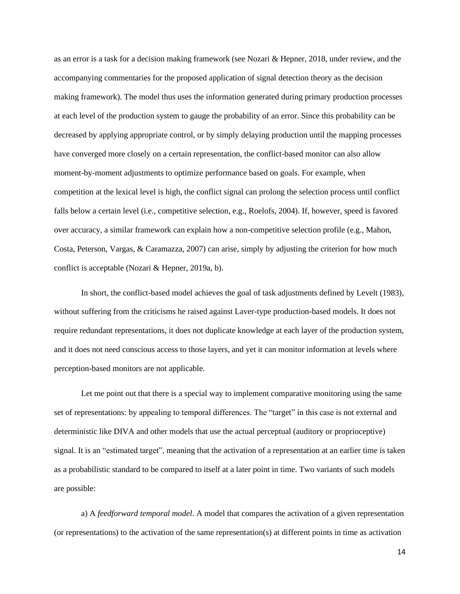as an error is a task for a decision making framework (see Nozari & Hepner, 2018, under review, and the accompanying commentaries for the proposed application of signal detection theory as the decision making framework). The model thus uses the information generated during primary production processes at each level of the production system to gauge the probability of an error. Since this probability can be decreased by applying appropriate control, or by simply delaying production until the mapping processes have converged more closely on a certain representation, the conflict-based monitor can also allow moment-by-moment adjustments to optimize performance based on goals. For example, when competition at the lexical level is high, the conflict signal can prolong the selection process until conflict falls below a certain level (i.e., competitive selection, e.g., Roelofs, 2004). If, however, speed is favored over accuracy, a similar framework can explain how a non-competitive selection profile (e.g., Mahon, Costa, Peterson, Vargas, & Caramazza, 2007) can arise, simply by adjusting the criterion for how much conflict is acceptable (Nozari & Hepner, 2019a, b).

In short, the conflict-based model achieves the goal of task adjustments defined by Levelt (1983), without suffering from the criticisms he raised against Laver-type production-based models. It does not require redundant representations, it does not duplicate knowledge at each layer of the production system, and it does not need conscious access to those layers, and yet it can monitor information at levels where perception-based monitors are not applicable.

Let me point out that there is a special way to implement comparative monitoring using the same set of representations: by appealing to temporal differences. The "target" in this case is not external and deterministic like DIVA and other models that use the actual perceptual (auditory or proprioceptive) signal. It is an "estimated target", meaning that the activation of a representation at an earlier time is taken as a probabilistic standard to be compared to itself at a later point in time. Two variants of such models are possible:

a) A *feedforward temporal model*. A model that compares the activation of a given representation (or representations) to the activation of the same representation(s) at different points in time as activation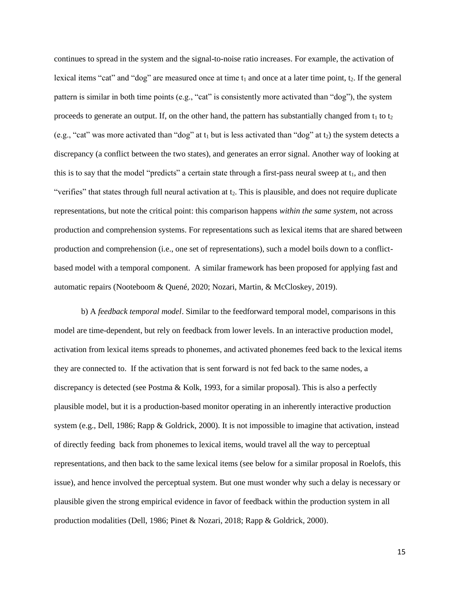continues to spread in the system and the signal-to-noise ratio increases. For example, the activation of lexical items "cat" and "dog" are measured once at time  $t_1$  and once at a later time point,  $t_2$ . If the general pattern is similar in both time points (e.g., "cat" is consistently more activated than "dog"), the system proceeds to generate an output. If, on the other hand, the pattern has substantially changed from  $t_1$  to  $t_2$ (e.g., "cat" was more activated than "dog" at  $t_1$  but is less activated than "dog" at  $t_2$ ) the system detects a discrepancy (a conflict between the two states), and generates an error signal. Another way of looking at this is to say that the model "predicts" a certain state through a first-pass neural sweep at  $t_1$ , and then "verifies" that states through full neural activation at t<sub>2</sub>. This is plausible, and does not require duplicate representations, but note the critical point: this comparison happens *within the same system*, not across production and comprehension systems. For representations such as lexical items that are shared between production and comprehension (i.e., one set of representations), such a model boils down to a conflictbased model with a temporal component. A similar framework has been proposed for applying fast and automatic repairs (Nooteboom & Quené, 2020; Nozari, Martin, & McCloskey, 2019).

b) A *feedback temporal model*. Similar to the feedforward temporal model, comparisons in this model are time-dependent, but rely on feedback from lower levels. In an interactive production model, activation from lexical items spreads to phonemes, and activated phonemes feed back to the lexical items they are connected to. If the activation that is sent forward is not fed back to the same nodes, a discrepancy is detected (see Postma & Kolk, 1993, for a similar proposal). This is also a perfectly plausible model, but it is a production-based monitor operating in an inherently interactive production system (e.g., Dell, 1986; Rapp & Goldrick, 2000). It is not impossible to imagine that activation, instead of directly feeding back from phonemes to lexical items, would travel all the way to perceptual representations, and then back to the same lexical items (see below for a similar proposal in Roelofs, this issue), and hence involved the perceptual system. But one must wonder why such a delay is necessary or plausible given the strong empirical evidence in favor of feedback within the production system in all production modalities (Dell, 1986; Pinet & Nozari, 2018; Rapp & Goldrick, 2000).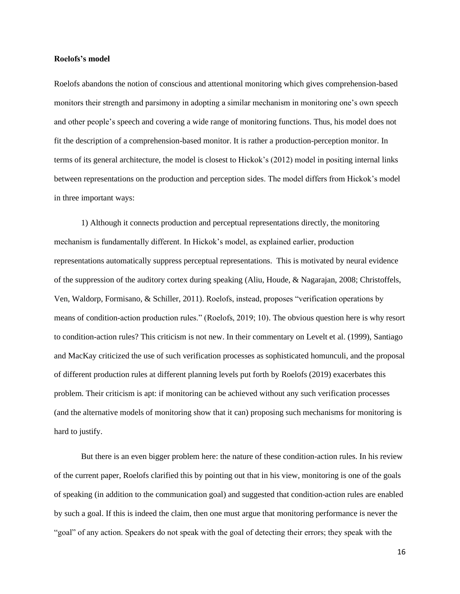#### **Roelofs's model**

Roelofs abandons the notion of conscious and attentional monitoring which gives comprehension-based monitors their strength and parsimony in adopting a similar mechanism in monitoring one's own speech and other people's speech and covering a wide range of monitoring functions. Thus, his model does not fit the description of a comprehension-based monitor. It is rather a production-perception monitor. In terms of its general architecture, the model is closest to Hickok's (2012) model in positing internal links between representations on the production and perception sides. The model differs from Hickok's model in three important ways:

1) Although it connects production and perceptual representations directly, the monitoring mechanism is fundamentally different. In Hickok's model, as explained earlier, production representations automatically suppress perceptual representations. This is motivated by neural evidence of the suppression of the auditory cortex during speaking (Aliu, Houde, & Nagarajan, 2008; Christoffels, Ven, Waldorp, Formisano, & Schiller, 2011). Roelofs, instead, proposes "verification operations by means of condition-action production rules." (Roelofs, 2019; 10). The obvious question here is why resort to condition-action rules? This criticism is not new. In their commentary on Levelt et al. (1999), Santiago and MacKay criticized the use of such verification processes as sophisticated homunculi, and the proposal of different production rules at different planning levels put forth by Roelofs (2019) exacerbates this problem. Their criticism is apt: if monitoring can be achieved without any such verification processes (and the alternative models of monitoring show that it can) proposing such mechanisms for monitoring is hard to justify.

But there is an even bigger problem here: the nature of these condition-action rules. In his review of the current paper, Roelofs clarified this by pointing out that in his view, monitoring is one of the goals of speaking (in addition to the communication goal) and suggested that condition-action rules are enabled by such a goal. If this is indeed the claim, then one must argue that monitoring performance is never the "goal" of any action. Speakers do not speak with the goal of detecting their errors; they speak with the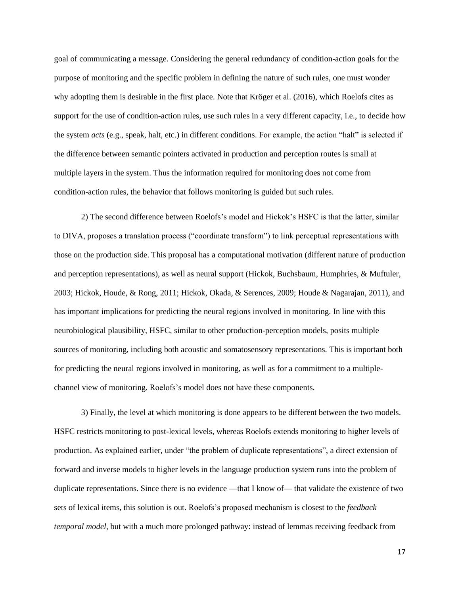goal of communicating a message. Considering the general redundancy of condition-action goals for the purpose of monitoring and the specific problem in defining the nature of such rules, one must wonder why adopting them is desirable in the first place. Note that Kröger et al. (2016), which Roelofs cites as support for the use of condition-action rules, use such rules in a very different capacity, i.e., to decide how the system *acts* (e.g., speak, halt, etc.) in different conditions. For example, the action "halt" is selected if the difference between semantic pointers activated in production and perception routes is small at multiple layers in the system. Thus the information required for monitoring does not come from condition-action rules, the behavior that follows monitoring is guided but such rules.

2) The second difference between Roelofs's model and Hickok's HSFC is that the latter, similar to DIVA, proposes a translation process ("coordinate transform") to link perceptual representations with those on the production side. This proposal has a computational motivation (different nature of production and perception representations), as well as neural support (Hickok, Buchsbaum, Humphries, & Muftuler, 2003; Hickok, Houde, & Rong, 2011; Hickok, Okada, & Serences, 2009; Houde & Nagarajan, 2011), and has important implications for predicting the neural regions involved in monitoring. In line with this neurobiological plausibility, HSFC, similar to other production-perception models, posits multiple sources of monitoring, including both acoustic and somatosensory representations. This is important both for predicting the neural regions involved in monitoring, as well as for a commitment to a multiplechannel view of monitoring. Roelofs's model does not have these components.

3) Finally, the level at which monitoring is done appears to be different between the two models. HSFC restricts monitoring to post-lexical levels, whereas Roelofs extends monitoring to higher levels of production. As explained earlier, under "the problem of duplicate representations", a direct extension of forward and inverse models to higher levels in the language production system runs into the problem of duplicate representations. Since there is no evidence —that I know of— that validate the existence of two sets of lexical items, this solution is out. Roelofs's proposed mechanism is closest to the *feedback temporal model*, but with a much more prolonged pathway: instead of lemmas receiving feedback from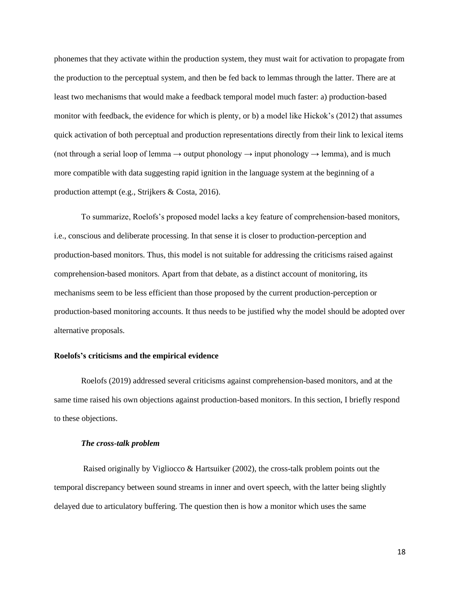phonemes that they activate within the production system, they must wait for activation to propagate from the production to the perceptual system, and then be fed back to lemmas through the latter. There are at least two mechanisms that would make a feedback temporal model much faster: a) production-based monitor with feedback, the evidence for which is plenty, or b) a model like Hickok's (2012) that assumes quick activation of both perceptual and production representations directly from their link to lexical items (not through a serial loop of lemma  $\rightarrow$  output phonology  $\rightarrow$  input phonology  $\rightarrow$  lemma), and is much more compatible with data suggesting rapid ignition in the language system at the beginning of a production attempt (e.g., Strijkers & Costa, 2016).

To summarize, Roelofs's proposed model lacks a key feature of comprehension-based monitors, i.e., conscious and deliberate processing. In that sense it is closer to production-perception and production-based monitors. Thus, this model is not suitable for addressing the criticisms raised against comprehension-based monitors. Apart from that debate, as a distinct account of monitoring, its mechanisms seem to be less efficient than those proposed by the current production-perception or production-based monitoring accounts. It thus needs to be justified why the model should be adopted over alternative proposals.

#### **Roelofs's criticisms and the empirical evidence**

Roelofs (2019) addressed several criticisms against comprehension-based monitors, and at the same time raised his own objections against production-based monitors. In this section, I briefly respond to these objections.

#### *The cross-talk problem*

Raised originally by Vigliocco & Hartsuiker (2002), the cross-talk problem points out the temporal discrepancy between sound streams in inner and overt speech, with the latter being slightly delayed due to articulatory buffering. The question then is how a monitor which uses the same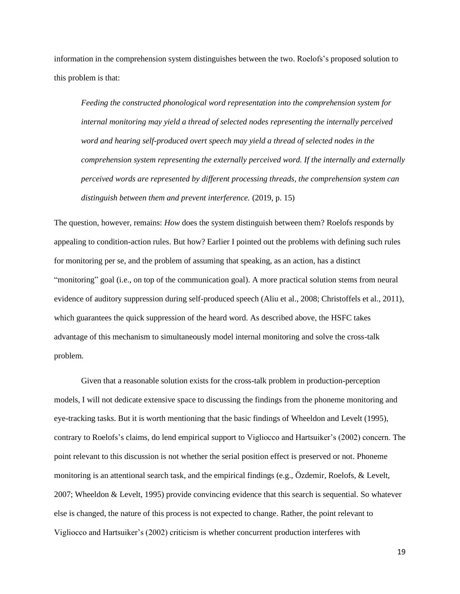information in the comprehension system distinguishes between the two. Roelofs's proposed solution to this problem is that:

*Feeding the constructed phonological word representation into the comprehension system for internal monitoring may yield a thread of selected nodes representing the internally perceived word and hearing self-produced overt speech may yield a thread of selected nodes in the comprehension system representing the externally perceived word. If the internally and externally perceived words are represented by different processing threads, the comprehension system can distinguish between them and prevent interference.* (2019, p. 15)

The question, however, remains: *How* does the system distinguish between them? Roelofs responds by appealing to condition-action rules. But how? Earlier I pointed out the problems with defining such rules for monitoring per se, and the problem of assuming that speaking, as an action, has a distinct "monitoring" goal (i.e., on top of the communication goal). A more practical solution stems from neural evidence of auditory suppression during self-produced speech (Aliu et al., 2008; Christoffels et al., 2011), which guarantees the quick suppression of the heard word. As described above, the HSFC takes advantage of this mechanism to simultaneously model internal monitoring and solve the cross-talk problem.

Given that a reasonable solution exists for the cross-talk problem in production-perception models, I will not dedicate extensive space to discussing the findings from the phoneme monitoring and eye-tracking tasks. But it is worth mentioning that the basic findings of Wheeldon and Levelt (1995), contrary to Roelofs's claims, do lend empirical support to Vigliocco and Hartsuiker's (2002) concern. The point relevant to this discussion is not whether the serial position effect is preserved or not. Phoneme monitoring is an attentional search task, and the empirical findings (e.g., Özdemir, Roelofs, & Levelt, 2007; Wheeldon & Levelt, 1995) provide convincing evidence that this search is sequential. So whatever else is changed, the nature of this process is not expected to change. Rather, the point relevant to Vigliocco and Hartsuiker's (2002) criticism is whether concurrent production interferes with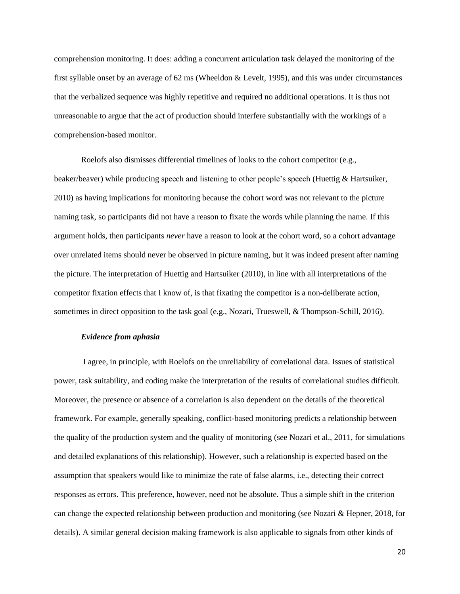comprehension monitoring. It does: adding a concurrent articulation task delayed the monitoring of the first syllable onset by an average of 62 ms (Wheeldon & Levelt, 1995), and this was under circumstances that the verbalized sequence was highly repetitive and required no additional operations. It is thus not unreasonable to argue that the act of production should interfere substantially with the workings of a comprehension-based monitor.

Roelofs also dismisses differential timelines of looks to the cohort competitor (e.g., beaker/beaver) while producing speech and listening to other people's speech (Huettig & Hartsuiker, 2010) as having implications for monitoring because the cohort word was not relevant to the picture naming task, so participants did not have a reason to fixate the words while planning the name. If this argument holds, then participants *never* have a reason to look at the cohort word, so a cohort advantage over unrelated items should never be observed in picture naming, but it was indeed present after naming the picture. The interpretation of Huettig and Hartsuiker (2010), in line with all interpretations of the competitor fixation effects that I know of, is that fixating the competitor is a non-deliberate action, sometimes in direct opposition to the task goal (e.g., Nozari, Trueswell, & Thompson-Schill, 2016).

## *Evidence from aphasia*

I agree, in principle, with Roelofs on the unreliability of correlational data. Issues of statistical power, task suitability, and coding make the interpretation of the results of correlational studies difficult. Moreover, the presence or absence of a correlation is also dependent on the details of the theoretical framework. For example, generally speaking, conflict-based monitoring predicts a relationship between the quality of the production system and the quality of monitoring (see Nozari et al., 2011, for simulations and detailed explanations of this relationship). However, such a relationship is expected based on the assumption that speakers would like to minimize the rate of false alarms, i.e., detecting their correct responses as errors. This preference, however, need not be absolute. Thus a simple shift in the criterion can change the expected relationship between production and monitoring (see Nozari & Hepner, 2018, for details). A similar general decision making framework is also applicable to signals from other kinds of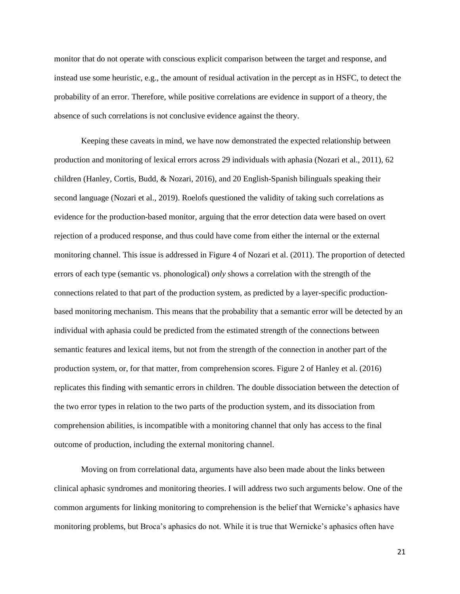monitor that do not operate with conscious explicit comparison between the target and response, and instead use some heuristic, e.g., the amount of residual activation in the percept as in HSFC, to detect the probability of an error. Therefore, while positive correlations are evidence in support of a theory, the absence of such correlations is not conclusive evidence against the theory.

Keeping these caveats in mind, we have now demonstrated the expected relationship between production and monitoring of lexical errors across 29 individuals with aphasia (Nozari et al., 2011), 62 children (Hanley, Cortis, Budd, & Nozari, 2016), and 20 English-Spanish bilinguals speaking their second language (Nozari et al., 2019). Roelofs questioned the validity of taking such correlations as evidence for the production-based monitor, arguing that the error detection data were based on overt rejection of a produced response, and thus could have come from either the internal or the external monitoring channel. This issue is addressed in Figure 4 of Nozari et al. (2011). The proportion of detected errors of each type (semantic vs. phonological) *only* shows a correlation with the strength of the connections related to that part of the production system, as predicted by a layer-specific productionbased monitoring mechanism. This means that the probability that a semantic error will be detected by an individual with aphasia could be predicted from the estimated strength of the connections between semantic features and lexical items, but not from the strength of the connection in another part of the production system, or, for that matter, from comprehension scores. Figure 2 of Hanley et al. (2016) replicates this finding with semantic errors in children. The double dissociation between the detection of the two error types in relation to the two parts of the production system, and its dissociation from comprehension abilities, is incompatible with a monitoring channel that only has access to the final outcome of production, including the external monitoring channel.

Moving on from correlational data, arguments have also been made about the links between clinical aphasic syndromes and monitoring theories. I will address two such arguments below. One of the common arguments for linking monitoring to comprehension is the belief that Wernicke's aphasics have monitoring problems, but Broca's aphasics do not. While it is true that Wernicke's aphasics often have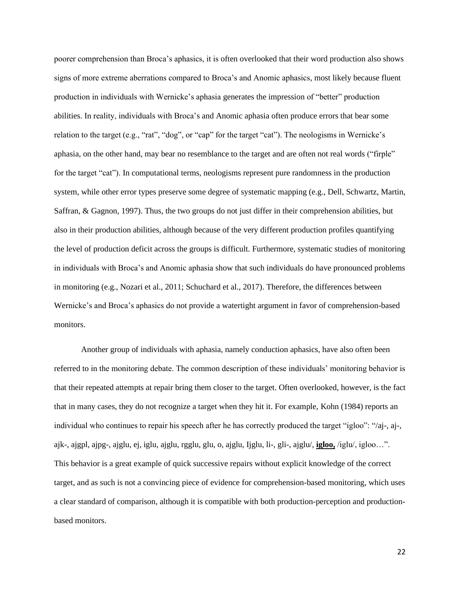poorer comprehension than Broca's aphasics, it is often overlooked that their word production also shows signs of more extreme aberrations compared to Broca's and Anomic aphasics, most likely because fluent production in individuals with Wernicke's aphasia generates the impression of "better" production abilities. In reality, individuals with Broca's and Anomic aphasia often produce errors that bear some relation to the target (e.g., "rat", "dog", or "cap" for the target "cat"). The neologisms in Wernicke's aphasia, on the other hand, may bear no resemblance to the target and are often not real words ("firple" for the target "cat"). In computational terms, neologisms represent pure randomness in the production system, while other error types preserve some degree of systematic mapping (e.g., Dell, Schwartz, Martin, Saffran, & Gagnon, 1997). Thus, the two groups do not just differ in their comprehension abilities, but also in their production abilities, although because of the very different production profiles quantifying the level of production deficit across the groups is difficult. Furthermore, systematic studies of monitoring in individuals with Broca's and Anomic aphasia show that such individuals do have pronounced problems in monitoring (e.g., Nozari et al., 2011; Schuchard et al., 2017). Therefore, the differences between Wernicke's and Broca's aphasics do not provide a watertight argument in favor of comprehension-based monitors.

Another group of individuals with aphasia, namely conduction aphasics, have also often been referred to in the monitoring debate. The common description of these individuals' monitoring behavior is that their repeated attempts at repair bring them closer to the target. Often overlooked, however, is the fact that in many cases, they do not recognize a target when they hit it. For example, Kohn (1984) reports an individual who continues to repair his speech after he has correctly produced the target "igloo": "/aj-, aj-, ajk-, ajgpl, ajpg-, ajglu, ej, iglu, ajglu, rgglu, glu, o, ajglu, Ijglu, li-, gli-, ajglu/, **igloo,** /iglu/, igloo…". This behavior is a great example of quick successive repairs without explicit knowledge of the correct target, and as such is not a convincing piece of evidence for comprehension-based monitoring, which uses a clear standard of comparison, although it is compatible with both production-perception and productionbased monitors.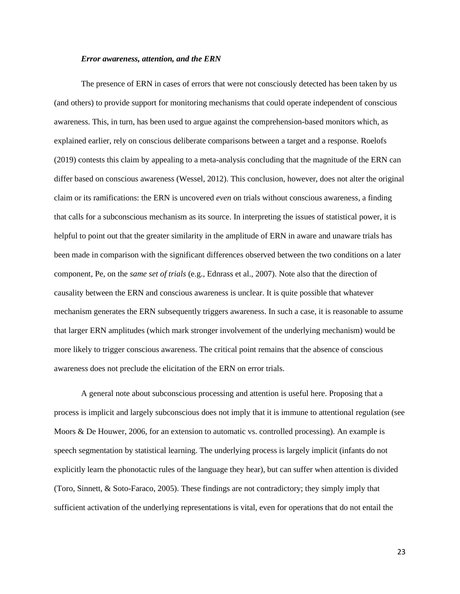#### *Error awareness, attention, and the ERN*

The presence of ERN in cases of errors that were not consciously detected has been taken by us (and others) to provide support for monitoring mechanisms that could operate independent of conscious awareness. This, in turn, has been used to argue against the comprehension-based monitors which, as explained earlier, rely on conscious deliberate comparisons between a target and a response. Roelofs (2019) contests this claim by appealing to a meta-analysis concluding that the magnitude of the ERN can differ based on conscious awareness (Wessel, 2012). This conclusion, however, does not alter the original claim or its ramifications: the ERN is uncovered *even* on trials without conscious awareness, a finding that calls for a subconscious mechanism as its source. In interpreting the issues of statistical power, it is helpful to point out that the greater similarity in the amplitude of ERN in aware and unaware trials has been made in comparison with the significant differences observed between the two conditions on a later component, Pe, on the *same set of trials* (e.g., Ednrass et al., 2007). Note also that the direction of causality between the ERN and conscious awareness is unclear. It is quite possible that whatever mechanism generates the ERN subsequently triggers awareness. In such a case, it is reasonable to assume that larger ERN amplitudes (which mark stronger involvement of the underlying mechanism) would be more likely to trigger conscious awareness. The critical point remains that the absence of conscious awareness does not preclude the elicitation of the ERN on error trials.

A general note about subconscious processing and attention is useful here. Proposing that a process is implicit and largely subconscious does not imply that it is immune to attentional regulation (see Moors & De Houwer, 2006, for an extension to automatic vs. controlled processing). An example is speech segmentation by statistical learning. The underlying process is largely implicit (infants do not explicitly learn the phonotactic rules of the language they hear), but can suffer when attention is divided (Toro, Sinnett, & Soto-Faraco, 2005). These findings are not contradictory; they simply imply that sufficient activation of the underlying representations is vital, even for operations that do not entail the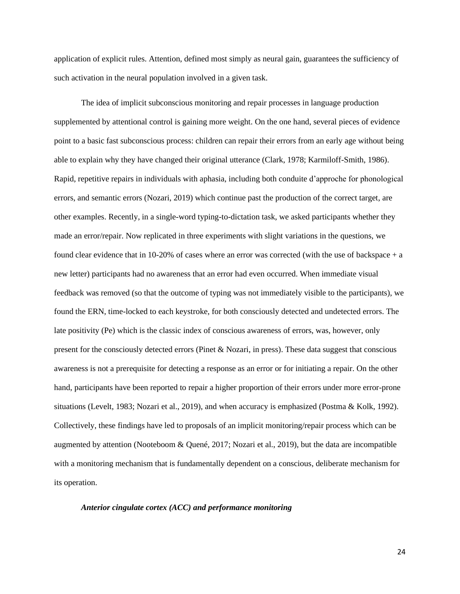application of explicit rules. Attention, defined most simply as neural gain, guarantees the sufficiency of such activation in the neural population involved in a given task.

The idea of implicit subconscious monitoring and repair processes in language production supplemented by attentional control is gaining more weight. On the one hand, several pieces of evidence point to a basic fast subconscious process: children can repair their errors from an early age without being able to explain why they have changed their original utterance (Clark, 1978; Karmiloff-Smith, 1986). Rapid, repetitive repairs in individuals with aphasia, including both conduite d'approche for phonological errors, and semantic errors (Nozari, 2019) which continue past the production of the correct target, are other examples. Recently, in a single-word typing-to-dictation task, we asked participants whether they made an error/repair. Now replicated in three experiments with slight variations in the questions, we found clear evidence that in 10-20% of cases where an error was corrected (with the use of backspace + a new letter) participants had no awareness that an error had even occurred. When immediate visual feedback was removed (so that the outcome of typing was not immediately visible to the participants), we found the ERN, time-locked to each keystroke, for both consciously detected and undetected errors. The late positivity (Pe) which is the classic index of conscious awareness of errors, was, however, only present for the consciously detected errors (Pinet & Nozari, in press). These data suggest that conscious awareness is not a prerequisite for detecting a response as an error or for initiating a repair. On the other hand, participants have been reported to repair a higher proportion of their errors under more error-prone situations (Levelt, 1983; Nozari et al., 2019), and when accuracy is emphasized (Postma & Kolk, 1992). Collectively, these findings have led to proposals of an implicit monitoring/repair process which can be augmented by attention (Nooteboom & Quené, 2017; Nozari et al., 2019), but the data are incompatible with a monitoring mechanism that is fundamentally dependent on a conscious, deliberate mechanism for its operation.

# *Anterior cingulate cortex (ACC) and performance monitoring*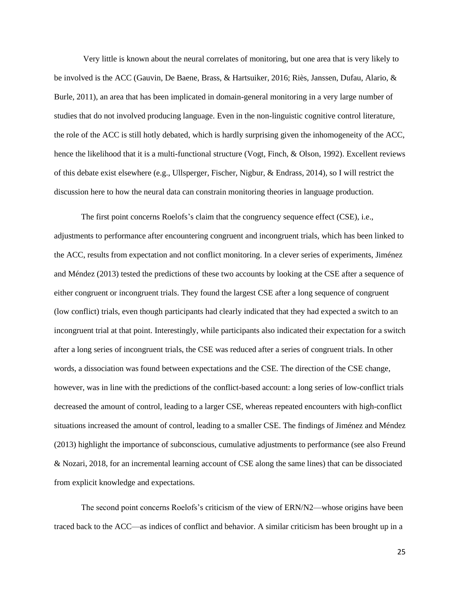Very little is known about the neural correlates of monitoring, but one area that is very likely to be involved is the ACC (Gauvin, De Baene, Brass, & Hartsuiker, 2016; Riès, Janssen, Dufau, Alario, & Burle, 2011), an area that has been implicated in domain-general monitoring in a very large number of studies that do not involved producing language. Even in the non-linguistic cognitive control literature, the role of the ACC is still hotly debated, which is hardly surprising given the inhomogeneity of the ACC, hence the likelihood that it is a multi-functional structure (Vogt, Finch, & Olson, 1992). Excellent reviews of this debate exist elsewhere (e.g., Ullsperger, Fischer, Nigbur, & Endrass, 2014), so I will restrict the discussion here to how the neural data can constrain monitoring theories in language production.

The first point concerns Roelofs's claim that the congruency sequence effect (CSE), i.e., adjustments to performance after encountering congruent and incongruent trials, which has been linked to the ACC, results from expectation and not conflict monitoring. In a clever series of experiments, Jiménez and Méndez (2013) tested the predictions of these two accounts by looking at the CSE after a sequence of either congruent or incongruent trials. They found the largest CSE after a long sequence of congruent (low conflict) trials, even though participants had clearly indicated that they had expected a switch to an incongruent trial at that point. Interestingly, while participants also indicated their expectation for a switch after a long series of incongruent trials, the CSE was reduced after a series of congruent trials. In other words, a dissociation was found between expectations and the CSE. The direction of the CSE change, however, was in line with the predictions of the conflict-based account: a long series of low-conflict trials decreased the amount of control, leading to a larger CSE, whereas repeated encounters with high-conflict situations increased the amount of control, leading to a smaller CSE. The findings of Jiménez and Méndez (2013) highlight the importance of subconscious, cumulative adjustments to performance (see also Freund & Nozari, 2018, for an incremental learning account of CSE along the same lines) that can be dissociated from explicit knowledge and expectations.

The second point concerns Roelofs's criticism of the view of ERN/N2—whose origins have been traced back to the ACC—as indices of conflict and behavior. A similar criticism has been brought up in a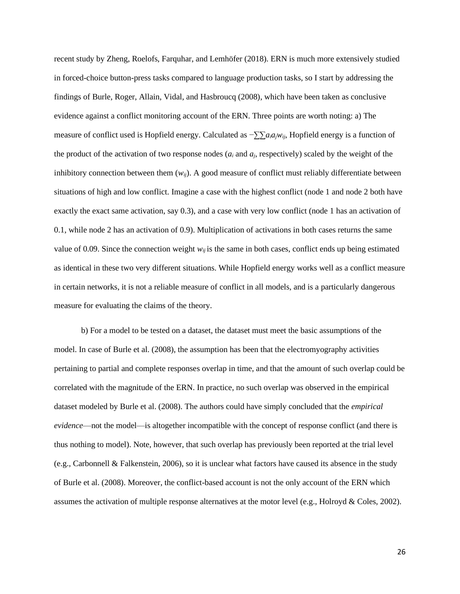recent study by Zheng, Roelofs, Farquhar, and Lemhöfer (2018). ERN is much more extensively studied in forced-choice button-press tasks compared to language production tasks, so I start by addressing the findings of Burle, Roger, Allain, Vidal, and Hasbroucq (2008), which have been taken as conclusive evidence against a conflict monitoring account of the ERN. Three points are worth noting: a) The measure of conflict used is Hopfield energy. Calculated as −*∑∑aiajwij*, Hopfield energy is a function of the product of the activation of two response nodes  $(a_i \text{ and } a_j \text{, respectively})$  scaled by the weight of the inhibitory connection between them  $(w_{ij})$ . A good measure of conflict must reliably differentiate between situations of high and low conflict. Imagine a case with the highest conflict (node 1 and node 2 both have exactly the exact same activation, say 0.3), and a case with very low conflict (node 1 has an activation of 0.1, while node 2 has an activation of 0.9). Multiplication of activations in both cases returns the same value of 0.09. Since the connection weight  $w_{ij}$  is the same in both cases, conflict ends up being estimated as identical in these two very different situations. While Hopfield energy works well as a conflict measure in certain networks, it is not a reliable measure of conflict in all models, and is a particularly dangerous measure for evaluating the claims of the theory.

b) For a model to be tested on a dataset, the dataset must meet the basic assumptions of the model. In case of Burle et al. (2008), the assumption has been that the electromyography activities pertaining to partial and complete responses overlap in time, and that the amount of such overlap could be correlated with the magnitude of the ERN. In practice, no such overlap was observed in the empirical dataset modeled by Burle et al. (2008). The authors could have simply concluded that the *empirical evidence*—not the model—is altogether incompatible with the concept of response conflict (and there is thus nothing to model). Note, however, that such overlap has previously been reported at the trial level (e.g., Carbonnell & Falkenstein, 2006), so it is unclear what factors have caused its absence in the study of Burle et al. (2008). Moreover, the conflict-based account is not the only account of the ERN which assumes the activation of multiple response alternatives at the motor level (e.g., Holroyd & Coles, 2002).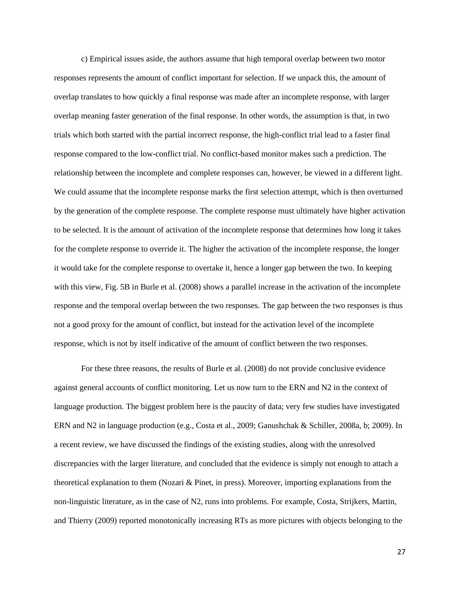c) Empirical issues aside, the authors assume that high temporal overlap between two motor responses represents the amount of conflict important for selection. If we unpack this, the amount of overlap translates to how quickly a final response was made after an incomplete response, with larger overlap meaning faster generation of the final response. In other words, the assumption is that, in two trials which both started with the partial incorrect response, the high-conflict trial lead to a faster final response compared to the low-conflict trial. No conflict-based monitor makes such a prediction. The relationship between the incomplete and complete responses can, however, be viewed in a different light. We could assume that the incomplete response marks the first selection attempt, which is then overturned by the generation of the complete response. The complete response must ultimately have higher activation to be selected. It is the amount of activation of the incomplete response that determines how long it takes for the complete response to override it. The higher the activation of the incomplete response, the longer it would take for the complete response to overtake it, hence a longer gap between the two. In keeping with this view, Fig. 5B in Burle et al. (2008) shows a parallel increase in the activation of the incomplete response and the temporal overlap between the two responses. The gap between the two responses is thus not a good proxy for the amount of conflict, but instead for the activation level of the incomplete response, which is not by itself indicative of the amount of conflict between the two responses.

For these three reasons, the results of Burle et al. (2008) do not provide conclusive evidence against general accounts of conflict monitoring. Let us now turn to the ERN and N2 in the context of language production. The biggest problem here is the paucity of data; very few studies have investigated ERN and N2 in language production (e.g., Costa et al., 2009; Ganushchak & Schiller, 2008a, b; 2009). In a recent review, we have discussed the findings of the existing studies, along with the unresolved discrepancies with the larger literature, and concluded that the evidence is simply not enough to attach a theoretical explanation to them (Nozari & Pinet, in press). Moreover, importing explanations from the non-linguistic literature, as in the case of N2, runs into problems. For example, Costa, Strijkers, Martin, and Thierry (2009) reported monotonically increasing RTs as more pictures with objects belonging to the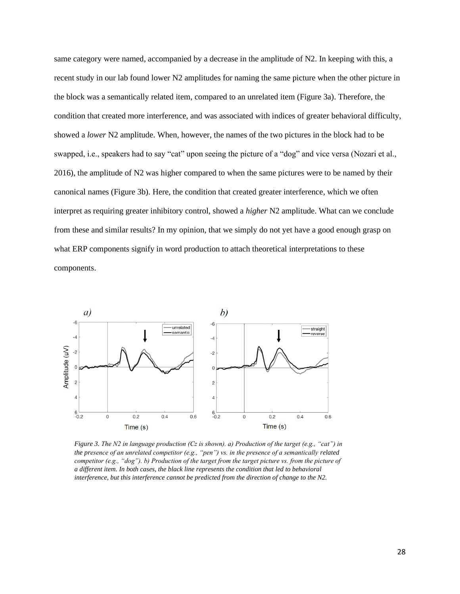same category were named, accompanied by a decrease in the amplitude of N2. In keeping with this, a recent study in our lab found lower N2 amplitudes for naming the same picture when the other picture in the block was a semantically related item, compared to an unrelated item (Figure 3a). Therefore, the condition that created more interference, and was associated with indices of greater behavioral difficulty, showed a *lower* N2 amplitude. When, however, the names of the two pictures in the block had to be swapped, i.e., speakers had to say "cat" upon seeing the picture of a "dog" and vice versa (Nozari et al., 2016), the amplitude of N2 was higher compared to when the same pictures were to be named by their canonical names (Figure 3b). Here, the condition that created greater interference, which we often interpret as requiring greater inhibitory control, showed a *higher* N2 amplitude. What can we conclude from these and similar results? In my opinion, that we simply do not yet have a good enough grasp on what ERP components signify in word production to attach theoretical interpretations to these components.



*Figure 3. The N2 in language production (Cz is shown). a) Production of the target (e.g., "cat") in the presence of an unrelated competitor (e.g., "pen") vs. in the presence of a semantically related competitor (e.g., "dog"). b) Production of the target from the target picture vs. from the picture of a different item. In both cases, the black line represents the condition that led to behavioral interference, but this interference cannot be predicted from the direction of change to the N2.*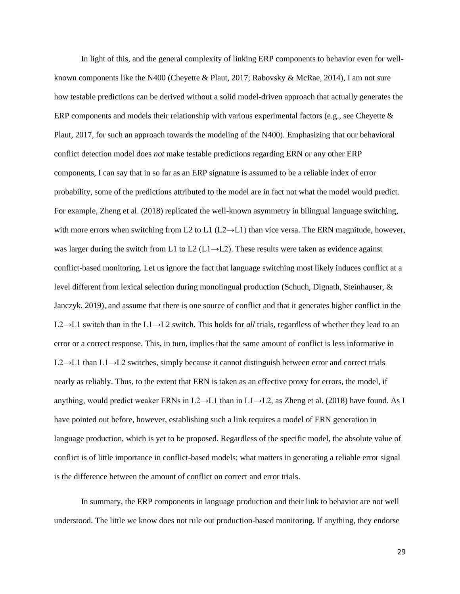In light of this, and the general complexity of linking ERP components to behavior even for wellknown components like the N400 (Cheyette & Plaut, 2017; Rabovsky & McRae, 2014), I am not sure how testable predictions can be derived without a solid model-driven approach that actually generates the ERP components and models their relationship with various experimental factors (e.g., see Cheyette & Plaut, 2017, for such an approach towards the modeling of the N400). Emphasizing that our behavioral conflict detection model does *not* make testable predictions regarding ERN or any other ERP components, I can say that in so far as an ERP signature is assumed to be a reliable index of error probability, some of the predictions attributed to the model are in fact not what the model would predict. For example, Zheng et al. (2018) replicated the well-known asymmetry in bilingual language switching, with more errors when switching from L2 to L1 ( $L2 \rightarrow L1$ ) than vice versa. The ERN magnitude, however, was larger during the switch from L1 to L2 (L1 $\rightarrow$ L2). These results were taken as evidence against conflict-based monitoring. Let us ignore the fact that language switching most likely induces conflict at a level different from lexical selection during monolingual production (Schuch, Dignath, Steinhauser, & Janczyk, 2019), and assume that there is one source of conflict and that it generates higher conflict in the L2→L1 switch than in the L1→L2 switch. This holds for *all* trials, regardless of whether they lead to an error or a correct response. This, in turn, implies that the same amount of conflict is less informative in L2→L1 than L1→L2 switches, simply because it cannot distinguish between error and correct trials nearly as reliably. Thus, to the extent that ERN is taken as an effective proxy for errors, the model, if anything, would predict weaker ERNs in L2→L1 than in L1→L2, as Zheng et al. (2018) have found. As I have pointed out before, however, establishing such a link requires a model of ERN generation in language production, which is yet to be proposed. Regardless of the specific model, the absolute value of conflict is of little importance in conflict-based models; what matters in generating a reliable error signal is the difference between the amount of conflict on correct and error trials.

In summary, the ERP components in language production and their link to behavior are not well understood. The little we know does not rule out production-based monitoring. If anything, they endorse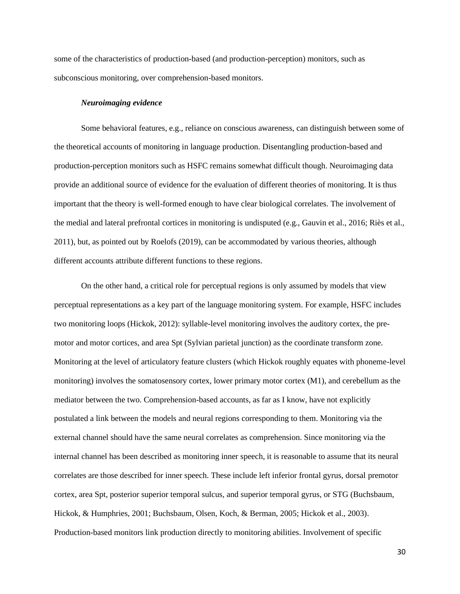some of the characteristics of production-based (and production-perception) monitors, such as subconscious monitoring, over comprehension-based monitors.

#### *Neuroimaging evidence*

Some behavioral features, e.g., reliance on conscious awareness, can distinguish between some of the theoretical accounts of monitoring in language production. Disentangling production-based and production-perception monitors such as HSFC remains somewhat difficult though. Neuroimaging data provide an additional source of evidence for the evaluation of different theories of monitoring. It is thus important that the theory is well-formed enough to have clear biological correlates. The involvement of the medial and lateral prefrontal cortices in monitoring is undisputed (e.g., Gauvin et al., 2016; Riès et al., 2011), but, as pointed out by Roelofs (2019), can be accommodated by various theories, although different accounts attribute different functions to these regions.

On the other hand, a critical role for perceptual regions is only assumed by models that view perceptual representations as a key part of the language monitoring system. For example, HSFC includes two monitoring loops (Hickok, 2012): syllable-level monitoring involves the auditory cortex, the premotor and motor cortices, and area Spt (Sylvian parietal junction) as the coordinate transform zone. Monitoring at the level of articulatory feature clusters (which Hickok roughly equates with phoneme-level monitoring) involves the somatosensory cortex, lower primary motor cortex (M1), and cerebellum as the mediator between the two. Comprehension-based accounts, as far as I know, have not explicitly postulated a link between the models and neural regions corresponding to them. Monitoring via the external channel should have the same neural correlates as comprehension. Since monitoring via the internal channel has been described as monitoring inner speech, it is reasonable to assume that its neural correlates are those described for inner speech. These include left inferior frontal gyrus, dorsal premotor cortex, area Spt, posterior superior temporal sulcus, and superior temporal gyrus, or STG (Buchsbaum, Hickok, & Humphries, 2001; Buchsbaum, Olsen, Koch, & Berman, 2005; Hickok et al., 2003). Production-based monitors link production directly to monitoring abilities. Involvement of specific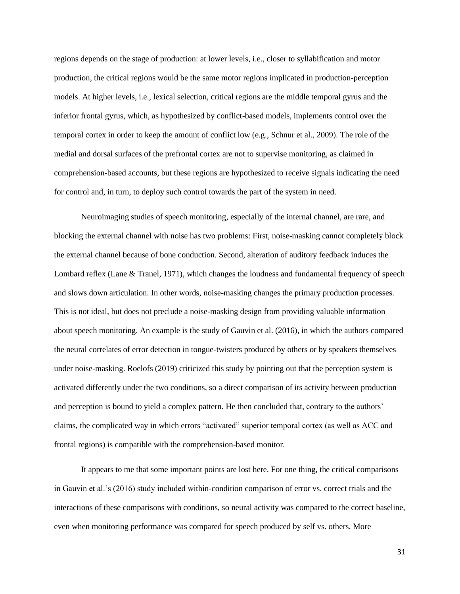regions depends on the stage of production: at lower levels, i.e., closer to syllabification and motor production, the critical regions would be the same motor regions implicated in production-perception models. At higher levels, i.e., lexical selection, critical regions are the middle temporal gyrus and the inferior frontal gyrus, which, as hypothesized by conflict-based models, implements control over the temporal cortex in order to keep the amount of conflict low (e.g., Schnur et al., 2009). The role of the medial and dorsal surfaces of the prefrontal cortex are not to supervise monitoring, as claimed in comprehension-based accounts, but these regions are hypothesized to receive signals indicating the need for control and, in turn, to deploy such control towards the part of the system in need.

Neuroimaging studies of speech monitoring, especially of the internal channel, are rare, and blocking the external channel with noise has two problems: First, noise-masking cannot completely block the external channel because of bone conduction. Second, alteration of auditory feedback induces the Lombard reflex (Lane & Tranel, 1971), which changes the loudness and fundamental frequency of speech and slows down articulation. In other words, noise-masking changes the primary production processes. This is not ideal, but does not preclude a noise-masking design from providing valuable information about speech monitoring. An example is the study of Gauvin et al. (2016), in which the authors compared the neural correlates of error detection in tongue-twisters produced by others or by speakers themselves under noise-masking. Roelofs (2019) criticized this study by pointing out that the perception system is activated differently under the two conditions, so a direct comparison of its activity between production and perception is bound to yield a complex pattern. He then concluded that, contrary to the authors' claims, the complicated way in which errors "activated" superior temporal cortex (as well as ACC and frontal regions) is compatible with the comprehension-based monitor.

It appears to me that some important points are lost here. For one thing, the critical comparisons in Gauvin et al.'s (2016) study included within-condition comparison of error vs. correct trials and the interactions of these comparisons with conditions, so neural activity was compared to the correct baseline, even when monitoring performance was compared for speech produced by self vs. others. More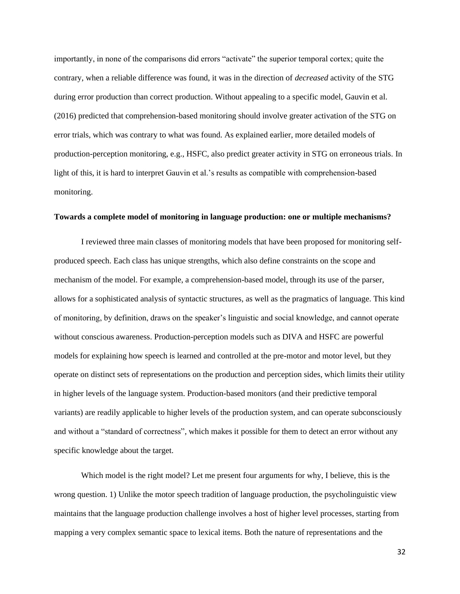importantly, in none of the comparisons did errors "activate" the superior temporal cortex; quite the contrary, when a reliable difference was found, it was in the direction of *decreased* activity of the STG during error production than correct production. Without appealing to a specific model, Gauvin et al. (2016) predicted that comprehension-based monitoring should involve greater activation of the STG on error trials, which was contrary to what was found. As explained earlier, more detailed models of production-perception monitoring, e.g., HSFC, also predict greater activity in STG on erroneous trials. In light of this, it is hard to interpret Gauvin et al.'s results as compatible with comprehension-based monitoring.

#### **Towards a complete model of monitoring in language production: one or multiple mechanisms?**

I reviewed three main classes of monitoring models that have been proposed for monitoring selfproduced speech. Each class has unique strengths, which also define constraints on the scope and mechanism of the model. For example, a comprehension-based model, through its use of the parser, allows for a sophisticated analysis of syntactic structures, as well as the pragmatics of language. This kind of monitoring, by definition, draws on the speaker's linguistic and social knowledge, and cannot operate without conscious awareness. Production-perception models such as DIVA and HSFC are powerful models for explaining how speech is learned and controlled at the pre-motor and motor level, but they operate on distinct sets of representations on the production and perception sides, which limits their utility in higher levels of the language system. Production-based monitors (and their predictive temporal variants) are readily applicable to higher levels of the production system, and can operate subconsciously and without a "standard of correctness", which makes it possible for them to detect an error without any specific knowledge about the target.

Which model is the right model? Let me present four arguments for why, I believe, this is the wrong question. 1) Unlike the motor speech tradition of language production, the psycholinguistic view maintains that the language production challenge involves a host of higher level processes, starting from mapping a very complex semantic space to lexical items. Both the nature of representations and the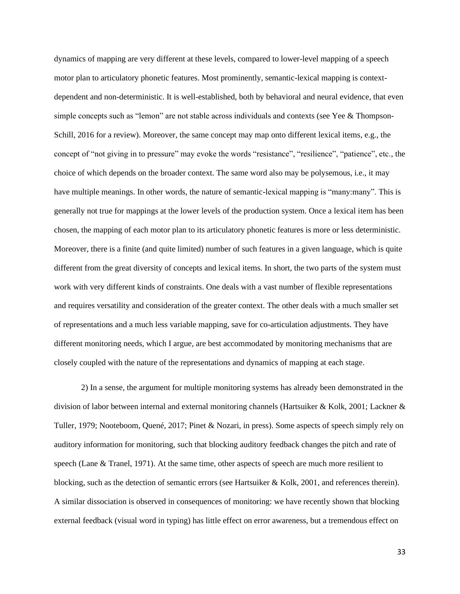dynamics of mapping are very different at these levels, compared to lower-level mapping of a speech motor plan to articulatory phonetic features. Most prominently, semantic-lexical mapping is contextdependent and non-deterministic. It is well-established, both by behavioral and neural evidence, that even simple concepts such as "lemon" are not stable across individuals and contexts (see Yee & Thompson-Schill, 2016 for a review). Moreover, the same concept may map onto different lexical items, e.g., the concept of "not giving in to pressure" may evoke the words "resistance", "resilience", "patience", etc., the choice of which depends on the broader context. The same word also may be polysemous, i.e., it may have multiple meanings. In other words, the nature of semantic-lexical mapping is "many:many". This is generally not true for mappings at the lower levels of the production system. Once a lexical item has been chosen, the mapping of each motor plan to its articulatory phonetic features is more or less deterministic. Moreover, there is a finite (and quite limited) number of such features in a given language, which is quite different from the great diversity of concepts and lexical items. In short, the two parts of the system must work with very different kinds of constraints. One deals with a vast number of flexible representations and requires versatility and consideration of the greater context. The other deals with a much smaller set of representations and a much less variable mapping, save for co-articulation adjustments. They have different monitoring needs, which I argue, are best accommodated by monitoring mechanisms that are closely coupled with the nature of the representations and dynamics of mapping at each stage.

2) In a sense, the argument for multiple monitoring systems has already been demonstrated in the division of labor between internal and external monitoring channels (Hartsuiker & Kolk, 2001; Lackner & Tuller, 1979; Nooteboom, Quené, 2017; Pinet & Nozari, in press). Some aspects of speech simply rely on auditory information for monitoring, such that blocking auditory feedback changes the pitch and rate of speech (Lane & Tranel, 1971). At the same time, other aspects of speech are much more resilient to blocking, such as the detection of semantic errors (see Hartsuiker & Kolk, 2001, and references therein). A similar dissociation is observed in consequences of monitoring: we have recently shown that blocking external feedback (visual word in typing) has little effect on error awareness, but a tremendous effect on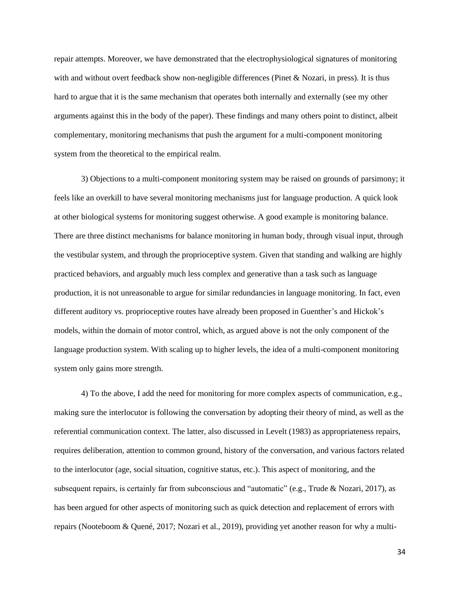repair attempts. Moreover, we have demonstrated that the electrophysiological signatures of monitoring with and without overt feedback show non-negligible differences (Pinet & Nozari, in press). It is thus hard to argue that it is the same mechanism that operates both internally and externally (see my other arguments against this in the body of the paper). These findings and many others point to distinct, albeit complementary, monitoring mechanisms that push the argument for a multi-component monitoring system from the theoretical to the empirical realm.

3) Objections to a multi-component monitoring system may be raised on grounds of parsimony; it feels like an overkill to have several monitoring mechanisms just for language production. A quick look at other biological systems for monitoring suggest otherwise. A good example is monitoring balance. There are three distinct mechanisms for balance monitoring in human body, through visual input, through the vestibular system, and through the proprioceptive system. Given that standing and walking are highly practiced behaviors, and arguably much less complex and generative than a task such as language production, it is not unreasonable to argue for similar redundancies in language monitoring. In fact, even different auditory vs. proprioceptive routes have already been proposed in Guenther's and Hickok's models, within the domain of motor control, which, as argued above is not the only component of the language production system. With scaling up to higher levels, the idea of a multi-component monitoring system only gains more strength.

4) To the above, I add the need for monitoring for more complex aspects of communication, e.g., making sure the interlocutor is following the conversation by adopting their theory of mind, as well as the referential communication context. The latter, also discussed in Levelt (1983) as appropriateness repairs, requires deliberation, attention to common ground, history of the conversation, and various factors related to the interlocutor (age, social situation, cognitive status, etc.). This aspect of monitoring, and the subsequent repairs, is certainly far from subconscious and "automatic" (e.g., Trude & Nozari, 2017), as has been argued for other aspects of monitoring such as quick detection and replacement of errors with repairs (Nooteboom & Quené, 2017; Nozari et al., 2019), providing yet another reason for why a multi-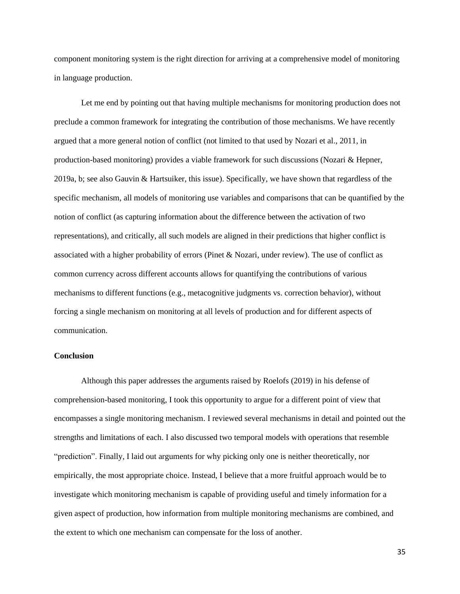component monitoring system is the right direction for arriving at a comprehensive model of monitoring in language production.

Let me end by pointing out that having multiple mechanisms for monitoring production does not preclude a common framework for integrating the contribution of those mechanisms. We have recently argued that a more general notion of conflict (not limited to that used by Nozari et al., 2011, in production-based monitoring) provides a viable framework for such discussions (Nozari & Hepner, 2019a, b; see also Gauvin & Hartsuiker, this issue). Specifically, we have shown that regardless of the specific mechanism, all models of monitoring use variables and comparisons that can be quantified by the notion of conflict (as capturing information about the difference between the activation of two representations), and critically, all such models are aligned in their predictions that higher conflict is associated with a higher probability of errors (Pinet & Nozari, under review). The use of conflict as common currency across different accounts allows for quantifying the contributions of various mechanisms to different functions (e.g., metacognitive judgments vs. correction behavior), without forcing a single mechanism on monitoring at all levels of production and for different aspects of communication.

# **Conclusion**

Although this paper addresses the arguments raised by Roelofs (2019) in his defense of comprehension-based monitoring, I took this opportunity to argue for a different point of view that encompasses a single monitoring mechanism. I reviewed several mechanisms in detail and pointed out the strengths and limitations of each. I also discussed two temporal models with operations that resemble "prediction". Finally, I laid out arguments for why picking only one is neither theoretically, nor empirically, the most appropriate choice. Instead, I believe that a more fruitful approach would be to investigate which monitoring mechanism is capable of providing useful and timely information for a given aspect of production, how information from multiple monitoring mechanisms are combined, and the extent to which one mechanism can compensate for the loss of another.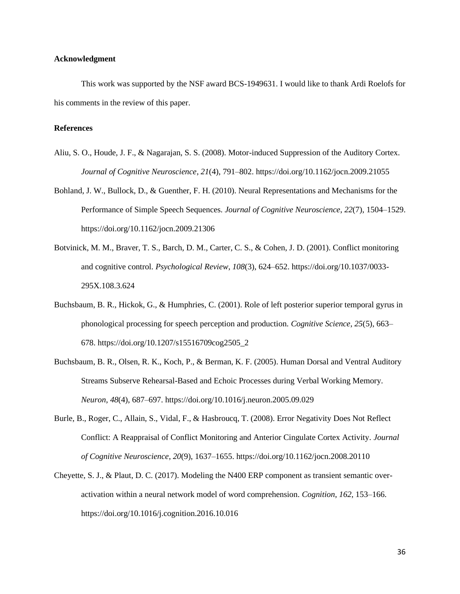#### **Acknowledgment**

This work was supported by the NSF award BCS-1949631. I would like to thank Ardi Roelofs for his comments in the review of this paper.

# **References**

- Aliu, S. O., Houde, J. F., & Nagarajan, S. S. (2008). Motor-induced Suppression of the Auditory Cortex. *Journal of Cognitive Neuroscience*, *21*(4), 791–802. https://doi.org/10.1162/jocn.2009.21055
- Bohland, J. W., Bullock, D., & Guenther, F. H. (2010). Neural Representations and Mechanisms for the Performance of Simple Speech Sequences. *Journal of Cognitive Neuroscience*, *22*(7), 1504–1529. https://doi.org/10.1162/jocn.2009.21306
- Botvinick, M. M., Braver, T. S., Barch, D. M., Carter, C. S., & Cohen, J. D. (2001). Conflict monitoring and cognitive control. *Psychological Review*, *108*(3), 624–652. https://doi.org/10.1037/0033- 295X.108.3.624
- Buchsbaum, B. R., Hickok, G., & Humphries, C. (2001). Role of left posterior superior temporal gyrus in phonological processing for speech perception and production. *Cognitive Science*, *25*(5), 663– 678. https://doi.org/10.1207/s15516709cog2505\_2
- Buchsbaum, B. R., Olsen, R. K., Koch, P., & Berman, K. F. (2005). Human Dorsal and Ventral Auditory Streams Subserve Rehearsal-Based and Echoic Processes during Verbal Working Memory. *Neuron*, *48*(4), 687–697. https://doi.org/10.1016/j.neuron.2005.09.029
- Burle, B., Roger, C., Allain, S., Vidal, F., & Hasbroucq, T. (2008). Error Negativity Does Not Reflect Conflict: A Reappraisal of Conflict Monitoring and Anterior Cingulate Cortex Activity. *Journal of Cognitive Neuroscience*, *20*(9), 1637–1655. https://doi.org/10.1162/jocn.2008.20110
- Cheyette, S. J., & Plaut, D. C. (2017). Modeling the N400 ERP component as transient semantic overactivation within a neural network model of word comprehension. *Cognition*, *162*, 153–166. https://doi.org/10.1016/j.cognition.2016.10.016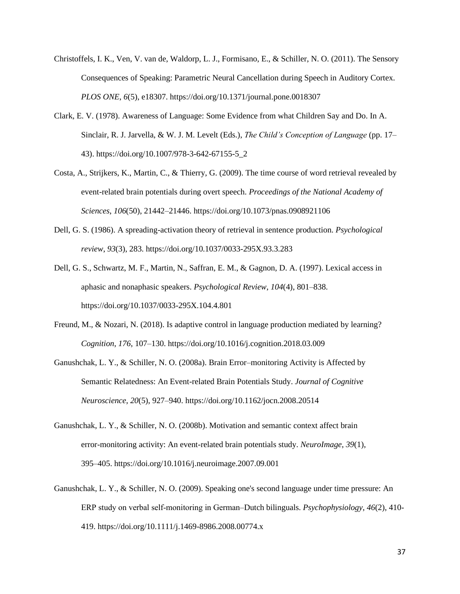- Christoffels, I. K., Ven, V. van de, Waldorp, L. J., Formisano, E., & Schiller, N. O. (2011). The Sensory Consequences of Speaking: Parametric Neural Cancellation during Speech in Auditory Cortex. *PLOS ONE*, *6*(5), e18307. https://doi.org/10.1371/journal.pone.0018307
- Clark, E. V. (1978). Awareness of Language: Some Evidence from what Children Say and Do. In A. Sinclair, R. J. Jarvella, & W. J. M. Levelt (Eds.), *The Child's Conception of Language* (pp. 17– 43). https://doi.org/10.1007/978-3-642-67155-5\_2
- Costa, A., Strijkers, K., Martin, C., & Thierry, G. (2009). The time course of word retrieval revealed by event-related brain potentials during overt speech. *Proceedings of the National Academy of Sciences*, *106*(50), 21442–21446. https://doi.org/10.1073/pnas.0908921106
- Dell, G. S. (1986). A spreading-activation theory of retrieval in sentence production. *Psychological review*, *93*(3), 283. https://doi.org/10.1037/0033-295X.93.3.283
- Dell, G. S., Schwartz, M. F., Martin, N., Saffran, E. M., & Gagnon, D. A. (1997). Lexical access in aphasic and nonaphasic speakers. *Psychological Review*, *104*(4), 801–838. https://doi.org/10.1037/0033-295X.104.4.801
- Freund, M., & Nozari, N. (2018). Is adaptive control in language production mediated by learning? *Cognition*, *176*, 107–130. https://doi.org/10.1016/j.cognition.2018.03.009
- Ganushchak, L. Y., & Schiller, N. O. (2008a). Brain Error–monitoring Activity is Affected by Semantic Relatedness: An Event-related Brain Potentials Study. *Journal of Cognitive Neuroscience*, *20*(5), 927–940. https://doi.org/10.1162/jocn.2008.20514
- Ganushchak, L. Y., & Schiller, N. O. (2008b). Motivation and semantic context affect brain error-monitoring activity: An event-related brain potentials study. *NeuroImage*, *39*(1), 395–405. https://doi.org/10.1016/j.neuroimage.2007.09.001
- Ganushchak, L. Y., & Schiller, N. O. (2009). Speaking one's second language under time pressure: An ERP study on verbal self‐monitoring in German–Dutch bilinguals. *Psychophysiology*, *46*(2), 410- 419. https://doi.org/10.1111/j.1469-8986.2008.00774.x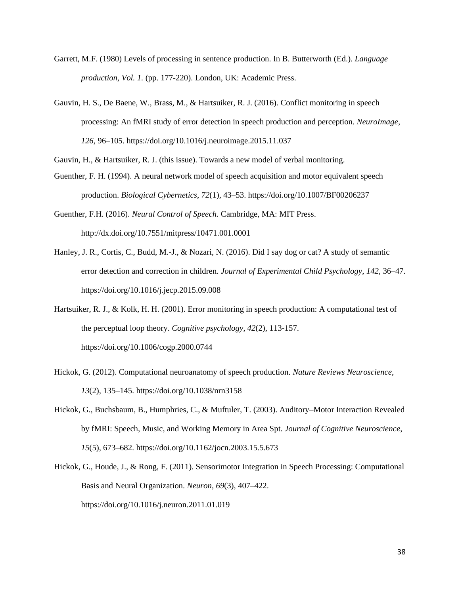- Garrett, M.F. (1980) Levels of processing in sentence production. In B. Butterworth (Ed.). *Language production, Vol. 1.* (pp. 177-220). London, UK: Academic Press.
- Gauvin, H. S., De Baene, W., Brass, M., & Hartsuiker, R. J. (2016). Conflict monitoring in speech processing: An fMRI study of error detection in speech production and perception. *NeuroImage*, *126*, 96–105. https://doi.org/10.1016/j.neuroimage.2015.11.037
- Gauvin, H., & Hartsuiker, R. J. (this issue). Towards a new model of verbal monitoring.
- Guenther, F. H. (1994). A neural network model of speech acquisition and motor equivalent speech production. *Biological Cybernetics*, *72*(1), 43–53. https://doi.org/10.1007/BF00206237
- Guenther, F.H. (2016). *Neural Control of Speech.* Cambridge, MA: MIT Press. http://dx.doi.org/10.7551/mitpress/10471.001.0001
- Hanley, J. R., Cortis, C., Budd, M.-J., & Nozari, N. (2016). Did I say dog or cat? A study of semantic error detection and correction in children. *Journal of Experimental Child Psychology*, *142*, 36–47. https://doi.org/10.1016/j.jecp.2015.09.008
- Hartsuiker, R. J., & Kolk, H. H. (2001). Error monitoring in speech production: A computational test of the perceptual loop theory. *Cognitive psychology*, *42*(2), 113-157. https://doi.org/10.1006/cogp.2000.0744
- Hickok, G. (2012). Computational neuroanatomy of speech production. *Nature Reviews Neuroscience*, *13*(2), 135–145. https://doi.org/10.1038/nrn3158
- Hickok, G., Buchsbaum, B., Humphries, C., & Muftuler, T. (2003). Auditory–Motor Interaction Revealed by fMRI: Speech, Music, and Working Memory in Area Spt. *Journal of Cognitive Neuroscience*, *15*(5), 673–682. https://doi.org/10.1162/jocn.2003.15.5.673
- Hickok, G., Houde, J., & Rong, F. (2011). Sensorimotor Integration in Speech Processing: Computational Basis and Neural Organization. *Neuron*, *69*(3), 407–422. https://doi.org/10.1016/j.neuron.2011.01.019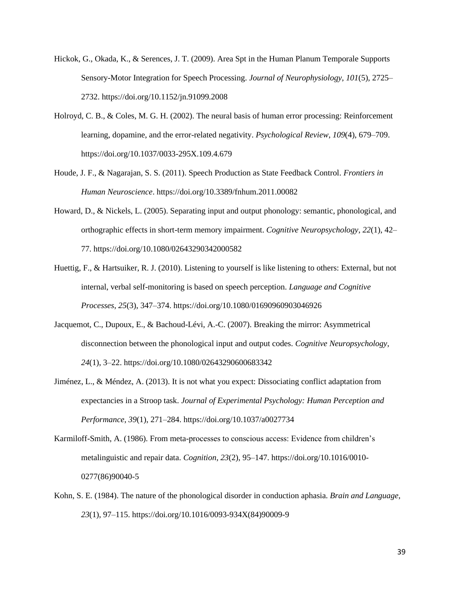- Hickok, G., Okada, K., & Serences, J. T. (2009). Area Spt in the Human Planum Temporale Supports Sensory-Motor Integration for Speech Processing. *Journal of Neurophysiology*, *101*(5), 2725– 2732. https://doi.org/10.1152/jn.91099.2008
- Holroyd, C. B., & Coles, M. G. H. (2002). The neural basis of human error processing: Reinforcement learning, dopamine, and the error-related negativity. *Psychological Review*, *109*(4), 679–709. https://doi.org/10.1037/0033-295X.109.4.679
- Houde, J. F., & Nagarajan, S. S. (2011). Speech Production as State Feedback Control. *Frontiers in Human Neuroscience*. https://doi.org/10.3389/fnhum.2011.00082
- Howard, D., & Nickels, L. (2005). Separating input and output phonology: semantic, phonological, and orthographic effects in short-term memory impairment. *Cognitive Neuropsychology*, *22*(1), 42– 77. https://doi.org/10.1080/02643290342000582
- Huettig, F., & Hartsuiker, R. J. (2010). Listening to yourself is like listening to others: External, but not internal, verbal self-monitoring is based on speech perception. *Language and Cognitive Processes*, *25*(3), 347–374. https://doi.org/10.1080/01690960903046926
- Jacquemot, C., Dupoux, E., & Bachoud-Lévi, A.-C. (2007). Breaking the mirror: Asymmetrical disconnection between the phonological input and output codes. *Cognitive Neuropsychology*, *24*(1), 3–22. https://doi.org/10.1080/02643290600683342
- Jiménez, L., & Méndez, A. (2013). It is not what you expect: Dissociating conflict adaptation from expectancies in a Stroop task. *Journal of Experimental Psychology: Human Perception and Performance*, *39*(1), 271–284. https://doi.org/10.1037/a0027734
- Karmiloff-Smith, A. (1986). From meta-processes to conscious access: Evidence from children's metalinguistic and repair data. *Cognition*, *23*(2), 95–147. https://doi.org/10.1016/0010- 0277(86)90040-5
- Kohn, S. E. (1984). The nature of the phonological disorder in conduction aphasia. *Brain and Language*, *23*(1), 97–115. https://doi.org/10.1016/0093-934X(84)90009-9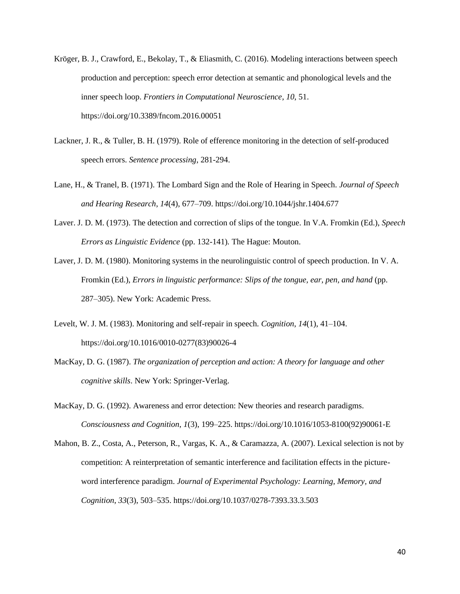- Kröger, B. J., Crawford, E., Bekolay, T., & Eliasmith, C. (2016). Modeling interactions between speech production and perception: speech error detection at semantic and phonological levels and the inner speech loop. *Frontiers in Computational Neuroscience*, *10*, 51. https://doi.org/10.3389/fncom.2016.00051
- Lackner, J. R., & Tuller, B. H. (1979). Role of efference monitoring in the detection of self-produced speech errors. *Sentence processing*, 281-294.
- Lane, H., & Tranel, B. (1971). The Lombard Sign and the Role of Hearing in Speech. *Journal of Speech and Hearing Research*, *14*(4), 677–709. https://doi.org/10.1044/jshr.1404.677
- Laver. J. D. M. (1973). The detection and correction of slips of the tongue. In V.A. Fromkin (Ed.), *Speech Errors as Linguistic Evidence* (pp. 132-141)*.* The Hague: Mouton.
- Laver, J. D. M. (1980). Monitoring systems in the neurolinguistic control of speech production. In V. A. Fromkin (Ed.), *Errors in linguistic performance: Slips of the tongue, ear, pen, and hand* (pp. 287–305). New York: Academic Press.
- Levelt, W. J. M. (1983). Monitoring and self-repair in speech. *Cognition*, *14*(1), 41–104. https://doi.org/10.1016/0010-0277(83)90026-4
- MacKay, D. G. (1987). *The organization of perception and action: A theory for language and other cognitive skills*. New York: Springer-Verlag.
- MacKay, D. G. (1992). Awareness and error detection: New theories and research paradigms. *Consciousness and Cognition*, *1*(3), 199–225. https://doi.org/10.1016/1053-8100(92)90061-E
- Mahon, B. Z., Costa, A., Peterson, R., Vargas, K. A., & Caramazza, A. (2007). Lexical selection is not by competition: A reinterpretation of semantic interference and facilitation effects in the pictureword interference paradigm. *Journal of Experimental Psychology: Learning, Memory, and Cognition*, *33*(3), 503–535. https://doi.org/10.1037/0278-7393.33.3.503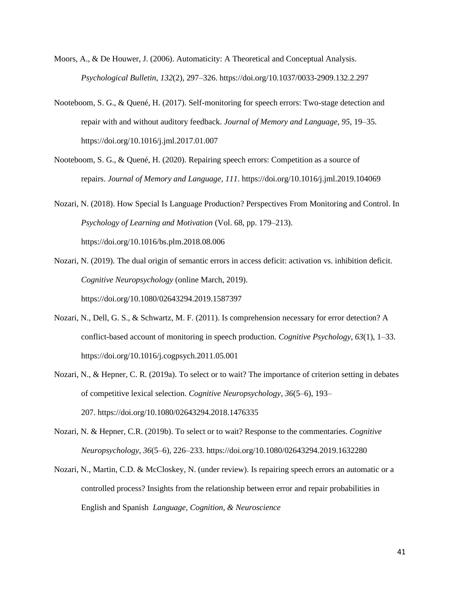- Moors, A., & De Houwer, J. (2006). Automaticity: A Theoretical and Conceptual Analysis. *Psychological Bulletin*, *132*(2), 297–326. https://doi.org/10.1037/0033-2909.132.2.297
- Nooteboom, S. G., & Quené, H. (2017). Self-monitoring for speech errors: Two-stage detection and repair with and without auditory feedback. *Journal of Memory and Language*, *95*, 19–35. https://doi.org/10.1016/j.jml.2017.01.007
- Nooteboom, S. G., & Quené, H. (2020). Repairing speech errors: Competition as a source of repairs. *Journal of Memory and Language*, *111*. https://doi.org/10.1016/j.jml.2019.104069
- Nozari, N. (2018). How Special Is Language Production? Perspectives From Monitoring and Control. In *Psychology of Learning and Motivation* (Vol. 68, pp. 179–213). https://doi.org/10.1016/bs.plm.2018.08.006
- Nozari, N. (2019). The dual origin of semantic errors in access deficit: activation vs. inhibition deficit. *Cognitive Neuropsychology* (online March, 2019). https://doi.org/10.1080/02643294.2019.1587397
- Nozari, N., Dell, G. S., & Schwartz, M. F. (2011). Is comprehension necessary for error detection? A conflict-based account of monitoring in speech production. *Cognitive Psychology*, *63*(1), 1–33. https://doi.org/10.1016/j.cogpsych.2011.05.001
- Nozari, N., & Hepner, C. R. (2019a). To select or to wait? The importance of criterion setting in debates of competitive lexical selection. *Cognitive Neuropsychology*, *36*(5–6), 193– 207. https://doi.org/10.1080/02643294.2018.1476335
- Nozari, N. & Hepner, C.R. (2019b). To select or to wait? Response to the commentaries. *Cognitive Neuropsychology, 36*(5–6), 226–233. https://doi.org/10.1080/02643294.2019.1632280
- Nozari, N., Martin, C.D. & McCloskey, N. (under review). Is repairing speech errors an automatic or a controlled process? Insights from the relationship between error and repair probabilities in English and Spanish *Language, Cognition, & Neuroscience*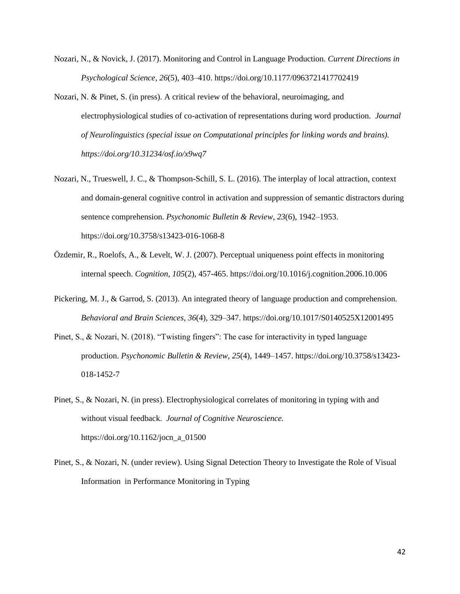- Nozari, N., & Novick, J. (2017). Monitoring and Control in Language Production. *Current Directions in Psychological Science*, *26*(5), 403–410. https://doi.org/10.1177/0963721417702419
- Nozari, N. & Pinet, S. (in press). A critical review of the behavioral, neuroimaging, and electrophysiological studies of co-activation of representations during word production. *Journal of Neurolinguistics (special issue on Computational principles for linking words and brains). https://doi.org/10.31234/osf.io/x9wq7*
- Nozari, N., Trueswell, J. C., & Thompson-Schill, S. L. (2016). The interplay of local attraction, context and domain-general cognitive control in activation and suppression of semantic distractors during sentence comprehension. *Psychonomic Bulletin & Review*, *23*(6), 1942–1953. https://doi.org/10.3758/s13423-016-1068-8
- Özdemir, R., Roelofs, A., & Levelt, W. J. (2007). Perceptual uniqueness point effects in monitoring internal speech. *Cognition*, *105*(2), 457-465. https://doi.org/10.1016/j.cognition.2006.10.006
- Pickering, M. J., & Garrod, S. (2013). An integrated theory of language production and comprehension. *Behavioral and Brain Sciences*, *36*(4), 329–347. https://doi.org/10.1017/S0140525X12001495
- Pinet, S., & Nozari, N. (2018). "Twisting fingers": The case for interactivity in typed language production. *Psychonomic Bulletin & Review*, *25*(4), 1449–1457. https://doi.org/10.3758/s13423- 018-1452-7
- Pinet, S., & Nozari, N. (in press). Electrophysiological correlates of monitoring in typing with and without visual feedback. *Journal of Cognitive Neuroscience.*  https://doi.org/10.1162/jocn\_a\_01500
- Pinet, S., & Nozari, N. (under review). Using Signal Detection Theory to Investigate the Role of Visual Information in Performance Monitoring in Typing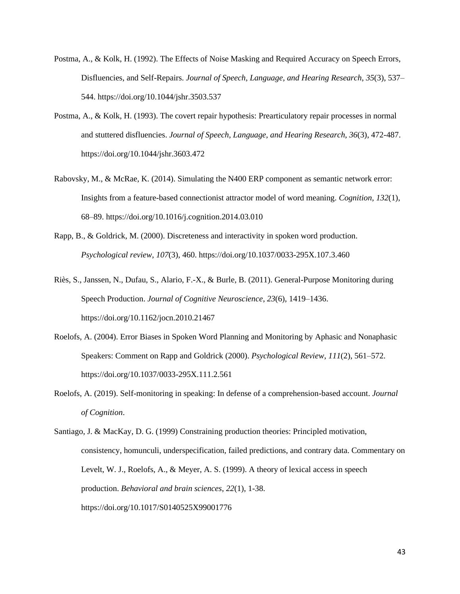- Postma, A., & Kolk, H. (1992). The Effects of Noise Masking and Required Accuracy on Speech Errors, Disfluencies, and Self-Repairs. *Journal of Speech, Language, and Hearing Research*, *35*(3), 537– 544. https://doi.org/10.1044/jshr.3503.537
- Postma, A., & Kolk, H. (1993). The covert repair hypothesis: Prearticulatory repair processes in normal and stuttered disfluencies. *Journal of Speech, Language, and Hearing Research*, *36*(3), 472-487. https://doi.org/10.1044/jshr.3603.472
- Rabovsky, M., & McRae, K. (2014). Simulating the N400 ERP component as semantic network error: Insights from a feature-based connectionist attractor model of word meaning. *Cognition*, *132*(1), 68–89. https://doi.org/10.1016/j.cognition.2014.03.010
- Rapp, B., & Goldrick, M. (2000). Discreteness and interactivity in spoken word production. *Psychological review*, *107*(3), 460. https://doi.org/10.1037/0033-295X.107.3.460
- Riès, S., Janssen, N., Dufau, S., Alario, F.-X., & Burle, B. (2011). General-Purpose Monitoring during Speech Production. *Journal of Cognitive Neuroscience*, *23*(6), 1419–1436. https://doi.org/10.1162/jocn.2010.21467
- Roelofs, A. (2004). Error Biases in Spoken Word Planning and Monitoring by Aphasic and Nonaphasic Speakers: Comment on Rapp and Goldrick (2000). *Psychological Review*, *111*(2), 561–572. https://doi.org/10.1037/0033-295X.111.2.561
- Roelofs, A. (2019). Self-monitoring in speaking: In defense of a comprehension-based account. *Journal of Cognition*.

Santiago, J. & MacKay, D. G. (1999) Constraining production theories: Principled motivation, consistency, homunculi, underspecification, failed predictions, and contrary data. Commentary on Levelt, W. J., Roelofs, A., & Meyer, A. S. (1999). A theory of lexical access in speech production. *Behavioral and brain sciences*, *22*(1), 1-38. https://doi.org/10.1017/S0140525X99001776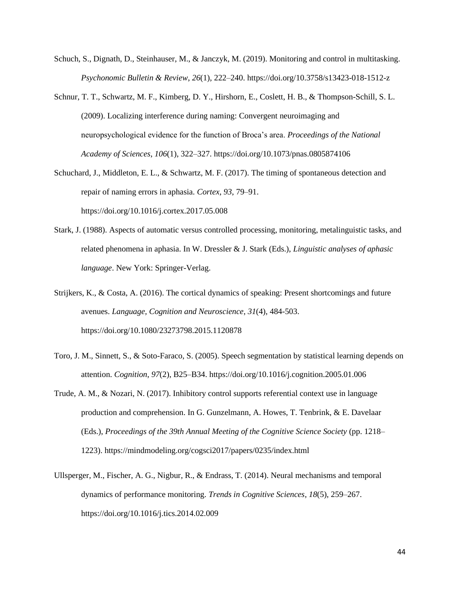- Schuch, S., Dignath, D., Steinhauser, M., & Janczyk, M. (2019). Monitoring and control in multitasking. *Psychonomic Bulletin & Review*, *26*(1), 222–240. https://doi.org/10.3758/s13423-018-1512-z
- Schnur, T. T., Schwartz, M. F., Kimberg, D. Y., Hirshorn, E., Coslett, H. B., & Thompson-Schill, S. L. (2009). Localizing interference during naming: Convergent neuroimaging and neuropsychological evidence for the function of Broca's area. *Proceedings of the National Academy of Sciences*, *106*(1), 322–327. https://doi.org/10.1073/pnas.0805874106
- Schuchard, J., Middleton, E. L., & Schwartz, M. F. (2017). The timing of spontaneous detection and repair of naming errors in aphasia. *Cortex*, *93*, 79–91.

https://doi.org/10.1016/j.cortex.2017.05.008

- Stark, J. (1988). Aspects of automatic versus controlled processing, monitoring, metalinguistic tasks, and related phenomena in aphasia. In W. Dressler & J. Stark (Eds.), *Linguistic analyses of aphasic language*. New York: Springer-Verlag.
- Strijkers, K., & Costa, A. (2016). The cortical dynamics of speaking: Present shortcomings and future avenues. *Language, Cognition and Neuroscience*, *31*(4), 484-503. https://doi.org/10.1080/23273798.2015.1120878
- Toro, J. M., Sinnett, S., & Soto-Faraco, S. (2005). Speech segmentation by statistical learning depends on attention. *Cognition*, *97*(2), B25–B34. https://doi.org/10.1016/j.cognition.2005.01.006
- Trude, A. M., & Nozari, N. (2017). Inhibitory control supports referential context use in language production and comprehension. In G. Gunzelmann, A. Howes, T. Tenbrink, & E. Davelaar (Eds.), *Proceedings of the 39th Annual Meeting of the Cognitive Science Society* (pp. 1218– 1223). https://mindmodeling.org/cogsci2017/papers/0235/index.html
- Ullsperger, M., Fischer, A. G., Nigbur, R., & Endrass, T. (2014). Neural mechanisms and temporal dynamics of performance monitoring. *Trends in Cognitive Sciences*, *18*(5), 259–267. https://doi.org/10.1016/j.tics.2014.02.009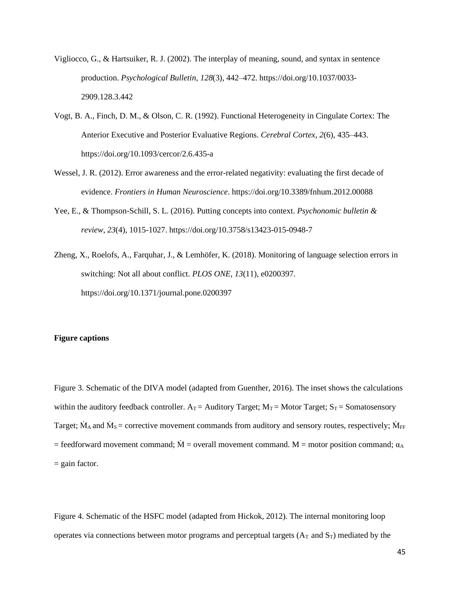- Vigliocco, G., & Hartsuiker, R. J. (2002). The interplay of meaning, sound, and syntax in sentence production. *Psychological Bulletin*, *128*(3), 442–472. https://doi.org/10.1037/0033- 2909.128.3.442
- Vogt, B. A., Finch, D. M., & Olson, C. R. (1992). Functional Heterogeneity in Cingulate Cortex: The Anterior Executive and Posterior Evaluative Regions. *Cerebral Cortex*, *2*(6), 435–443. https://doi.org/10.1093/cercor/2.6.435-a
- Wessel, J. R. (2012). Error awareness and the error-related negativity: evaluating the first decade of evidence. *Frontiers in Human Neuroscience*. https://doi.org/10.3389/fnhum.2012.00088
- Yee, E., & Thompson-Schill, S. L. (2016). Putting concepts into context. *Psychonomic bulletin & review*, *23*(4), 1015-1027. https://doi.org/10.3758/s13423-015-0948-7
- Zheng, X., Roelofs, A., Farquhar, J., & Lemhöfer, K. (2018). Monitoring of language selection errors in switching: Not all about conflict. *PLOS ONE*, *13*(11), e0200397. https://doi.org/10.1371/journal.pone.0200397

#### **Figure captions**

Figure 3. Schematic of the DIVA model (adapted from Guenther, 2016). The inset shows the calculations within the auditory feedback controller.  $A_T =$  Auditory Target;  $M_T =$  Motor Target;  $S_T =$  Somatosensory Target;  $\dot{M}_A$  and  $\dot{M}_S$  = corrective movement commands from auditory and sensory routes, respectively;  $\dot{M}_{FF}$  $=$  feedforward movement command;  $\dot{M}$  = overall movement command. M = motor position command;  $\alpha_A$  $=$  gain factor.

Figure 4. Schematic of the HSFC model (adapted from Hickok, 2012). The internal monitoring loop operates via connections between motor programs and perceptual targets  $(A_T \text{ and } S_T)$  mediated by the